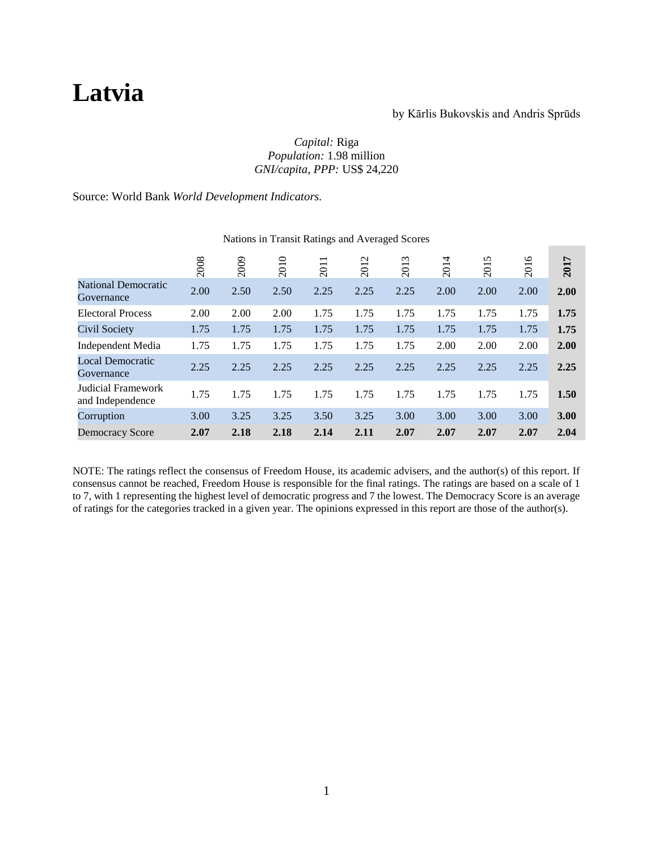# **Latvia**

#### by Kārlis Bukovskis and Andris Sprūds

#### *Capital:* Riga *Population:* 1.98 million *GNI/capita, PPP:* US\$ 24,220

Source: World Bank *World Development Indicators.*

|                                          | 2008 | 2009 | 2010 | $\overline{\phantom{0}}$<br>201 | $\mathbf{\Omega}$<br>201 | $\epsilon$<br>201 | 4<br>201 | S<br>201 | ৩<br>201 | 2017 |
|------------------------------------------|------|------|------|---------------------------------|--------------------------|-------------------|----------|----------|----------|------|
| <b>National Democratic</b><br>Governance | 2.00 | 2.50 | 2.50 | 2.25                            | 2.25                     | 2.25              | 2.00     | 2.00     | 2.00     | 2.00 |
| <b>Electoral Process</b>                 | 2.00 | 2.00 | 2.00 | 1.75                            | 1.75                     | 1.75              | 1.75     | 1.75     | 1.75     | 1.75 |
| Civil Society                            | 1.75 | 1.75 | 1.75 | 1.75                            | 1.75                     | 1.75              | 1.75     | 1.75     | 1.75     | 1.75 |
| Independent Media                        | 1.75 | 1.75 | 1.75 | 1.75                            | 1.75                     | 1.75              | 2.00     | 2.00     | 2.00     | 2.00 |
| <b>Local Democratic</b><br>Governance    | 2.25 | 2.25 | 2.25 | 2.25                            | 2.25                     | 2.25              | 2.25     | 2.25     | 2.25     | 2.25 |
| Judicial Framework<br>and Independence   | 1.75 | 1.75 | 1.75 | 1.75                            | 1.75                     | 1.75              | 1.75     | 1.75     | 1.75     | 1.50 |
| Corruption                               | 3.00 | 3.25 | 3.25 | 3.50                            | 3.25                     | 3.00              | 3.00     | 3.00     | 3.00     | 3.00 |
| <b>Democracy Score</b>                   | 2.07 | 2.18 | 2.18 | 2.14                            | 2.11                     | 2.07              | 2.07     | 2.07     | 2.07     | 2.04 |

#### Nations in Transit Ratings and Averaged Scores

NOTE: The ratings reflect the consensus of Freedom House, its academic advisers, and the author(s) of this report. If consensus cannot be reached, Freedom House is responsible for the final ratings. The ratings are based on a scale of 1 to 7, with 1 representing the highest level of democratic progress and 7 the lowest. The Democracy Score is an average of ratings for the categories tracked in a given year. The opinions expressed in this report are those of the author(s).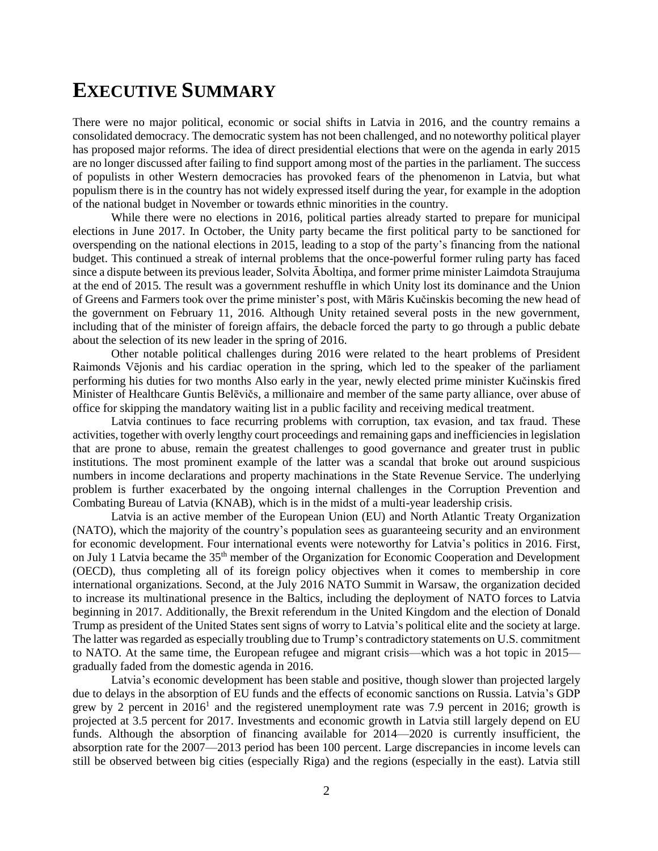### **EXECUTIVE SUMMARY**

There were no major political, economic or social shifts in Latvia in 2016, and the country remains a consolidated democracy. The democratic system has not been challenged, and no noteworthy political player has proposed major reforms. The idea of direct presidential elections that were on the agenda in early 2015 are no longer discussed after failing to find support among most of the parties in the parliament. The success of populists in other Western democracies has provoked fears of the phenomenon in Latvia, but what populism there is in the country has not widely expressed itself during the year, for example in the adoption of the national budget in November or towards ethnic minorities in the country.

While there were no elections in 2016, political parties already started to prepare for municipal elections in June 2017. In October, the Unity party became the first political party to be sanctioned for overspending on the national elections in 2015, leading to a stop of the party's financing from the national budget. This continued a streak of internal problems that the once-powerful former ruling party has faced since a dispute between its previous leader, Solvita Āboltiņa, and former prime minister Laimdota Straujuma at the end of 2015. The result was a government reshuffle in which Unity lost its dominance and the Union of Greens and Farmers took over the prime minister's post, with Māris Kučinskis becoming the new head of the government on February 11, 2016. Although Unity retained several posts in the new government, including that of the minister of foreign affairs, the debacle forced the party to go through a public debate about the selection of its new leader in the spring of 2016.

Other notable political challenges during 2016 were related to the heart problems of President Raimonds Vējonis and his cardiac operation in the spring, which led to the speaker of the parliament performing his duties for two months Also early in the year, newly elected prime minister Kučinskis fired Minister of Healthcare Guntis Belēvičs, a millionaire and member of the same party alliance, over abuse of office for skipping the mandatory waiting list in a public facility and receiving medical treatment.

Latvia continues to face recurring problems with corruption, tax evasion, and tax fraud. These activities, together with overly lengthy court proceedings and remaining gaps and inefficiencies in legislation that are prone to abuse, remain the greatest challenges to good governance and greater trust in public institutions. The most prominent example of the latter was a scandal that broke out around suspicious numbers in income declarations and property machinations in the State Revenue Service. The underlying problem is further exacerbated by the ongoing internal challenges in the Corruption Prevention and Combating Bureau of Latvia (KNAB), which is in the midst of a multi-year leadership crisis.

Latvia is an active member of the European Union (EU) and North Atlantic Treaty Organization (NATO), which the majority of the country's population sees as guaranteeing security and an environment for economic development. Four international events were noteworthy for Latvia's politics in 2016. First, on July 1 Latvia became the 35th member of the Organization for Economic Cooperation and Development (OECD), thus completing all of its foreign policy objectives when it comes to membership in core international organizations. Second, at the July 2016 NATO Summit in Warsaw, the organization decided to increase its multinational presence in the Baltics, including the deployment of NATO forces to Latvia beginning in 2017. Additionally, the Brexit referendum in the United Kingdom and the election of Donald Trump as president of the United States sent signs of worry to Latvia's political elite and the society at large. The latter was regarded as especially troubling due to Trump's contradictory statements on U.S. commitment to NATO. At the same time, the European refugee and migrant crisis—which was a hot topic in 2015 gradually faded from the domestic agenda in 2016.

Latvia's economic development has been stable and positive, though slower than projected largely due to delays in the absorption of EU funds and the effects of economic sanctions on Russia. Latvia's GDP grew by 2 percent in  $2016<sup>1</sup>$  and the registered unemployment rate was 7.9 percent in 2016; growth is projected at 3.5 percent for 2017. Investments and economic growth in Latvia still largely depend on EU funds. Although the absorption of financing available for 2014—2020 is currently insufficient, the absorption rate for the 2007—2013 period has been 100 percent. Large discrepancies in income levels can still be observed between big cities (especially Riga) and the regions (especially in the east). Latvia still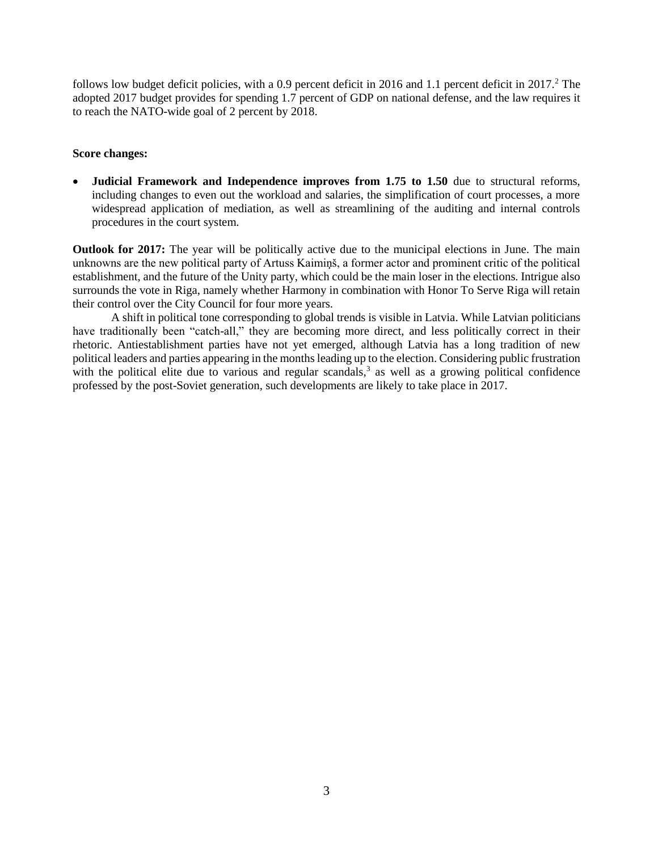follows low budget deficit policies, with a 0.9 percent deficit in 2016 and 1.1 percent deficit in 2017.<sup>2</sup> The adopted 2017 budget provides for spending 1.7 percent of GDP on national defense, and the law requires it to reach the NATO-wide goal of 2 percent by 2018.

#### **Score changes:**

 **Judicial Framework and Independence improves from 1.75 to 1.50** due to structural reforms, including changes to even out the workload and salaries, the simplification of court processes, a more widespread application of mediation, as well as streamlining of the auditing and internal controls procedures in the court system.

**Outlook for 2017:** The year will be politically active due to the municipal elections in June. The main unknowns are the new political party of Artuss Kaimiņš, a former actor and prominent critic of the political establishment, and the future of the Unity party, which could be the main loser in the elections. Intrigue also surrounds the vote in Riga, namely whether Harmony in combination with Honor To Serve Riga will retain their control over the City Council for four more years.

A shift in political tone corresponding to global trends is visible in Latvia. While Latvian politicians have traditionally been "catch-all," they are becoming more direct, and less politically correct in their rhetoric. Antiestablishment parties have not yet emerged, although Latvia has a long tradition of new political leaders and parties appearing in the months leading up to the election. Considering public frustration with the political elite due to various and regular scandals, $3$  as well as a growing political confidence professed by the post-Soviet generation, such developments are likely to take place in 2017.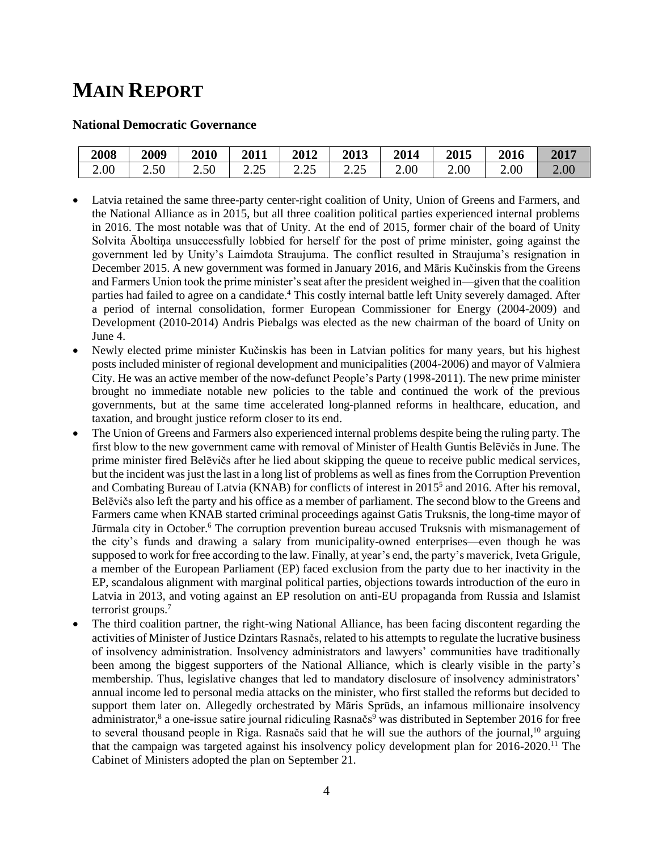## **MAIN REPORT**

#### **National Democratic Governance**

| 2008 | 2009 | 2010 | 2011                      | <b>2012</b>               | 2013                | 2014 | 2015 | 2016 | 2017 |
|------|------|------|---------------------------|---------------------------|---------------------|------|------|------|------|
| 2.00 | 2.50 | 2.50 | $\cap \subset$<br>ت کے وک | $\cap \subset$<br>ر ے . ب | $\Omega$<br>ر ے . ب | 2.00 | 2.00 | 2.00 | 2.00 |

- Latvia retained the same three-party center-right coalition of Unity, Union of Greens and Farmers, and the National Alliance as in 2015, but all three coalition political parties experienced internal problems in 2016. The most notable was that of Unity. At the end of 2015, former chair of the board of Unity Solvita Āboltiņa unsuccessfully lobbied for herself for the post of prime minister, going against the government led by Unity's Laimdota Straujuma. The conflict resulted in Straujuma's resignation in December 2015. A new government was formed in January 2016, and Māris Kučinskis from the Greens and Farmers Union took the prime minister's seat after the president weighed in—given that the coalition parties had failed to agree on a candidate. <sup>4</sup> This costly internal battle left Unity severely damaged. After a period of internal consolidation, former European Commissioner for Energy (2004-2009) and Development (2010-2014) Andris Piebalgs was elected as the new chairman of the board of Unity on June 4.
- Newly elected prime minister Kučinskis has been in Latvian politics for many years, but his highest posts included minister of regional development and municipalities (2004-2006) and mayor of Valmiera City. He was an active member of the now-defunct People's Party (1998-2011). The new prime minister brought no immediate notable new policies to the table and continued the work of the previous governments, but at the same time accelerated long-planned reforms in healthcare, education, and taxation, and brought justice reform closer to its end.
- The Union of Greens and Farmers also experienced internal problems despite being the ruling party. The first blow to the new government came with removal of Minister of Health Guntis Belēvičs in June. The prime minister fired Belēvičs after he lied about skipping the queue to receive public medical services, but the incident was just the last in a long list of problems as well as fines from the Corruption Prevention and Combating Bureau of Latvia (KNAB) for conflicts of interest in 2015 5 and 2016. After his removal, Belēvičs also left the party and his office as a member of parliament. The second blow to the Greens and Farmers came when KNAB started criminal proceedings against Gatis Truksnis, the long-time mayor of Jūrmala city in October.<sup>6</sup> The corruption prevention bureau accused Truksnis with mismanagement of the city's funds and drawing a salary from municipality-owned enterprises—even though he was supposed to work for free according to the law. Finally, at year's end, the party's maverick, Iveta Grigule, a member of the European Parliament (EP) faced exclusion from the party due to her inactivity in the EP, scandalous alignment with marginal political parties, objections towards introduction of the euro in Latvia in 2013, and voting against an EP resolution on anti-EU propaganda from Russia and Islamist terrorist groups.<sup>7</sup>
- The third coalition partner, the right-wing National Alliance, has been facing discontent regarding the activities of Minister of Justice Dzintars Rasnačs, related to his attempts to regulate the lucrative business of insolvency administration. Insolvency administrators and lawyers' communities have traditionally been among the biggest supporters of the National Alliance, which is clearly visible in the party's membership. Thus, legislative changes that led to mandatory disclosure of insolvency administrators' annual income led to personal media attacks on the minister, who first stalled the reforms but decided to support them later on. Allegedly orchestrated by Māris Sprūds, an infamous millionaire insolvency administrator,<sup>8</sup> a one-issue satire journal ridiculing Rasnačs<sup>9</sup> was distributed in September 2016 for free to several thousand people in Riga. Rasnačs said that he will sue the authors of the journal,<sup>10</sup> arguing that the campaign was targeted against his insolvency policy development plan for 2016-2020.<sup>11</sup> The Cabinet of Ministers adopted the plan on September 21.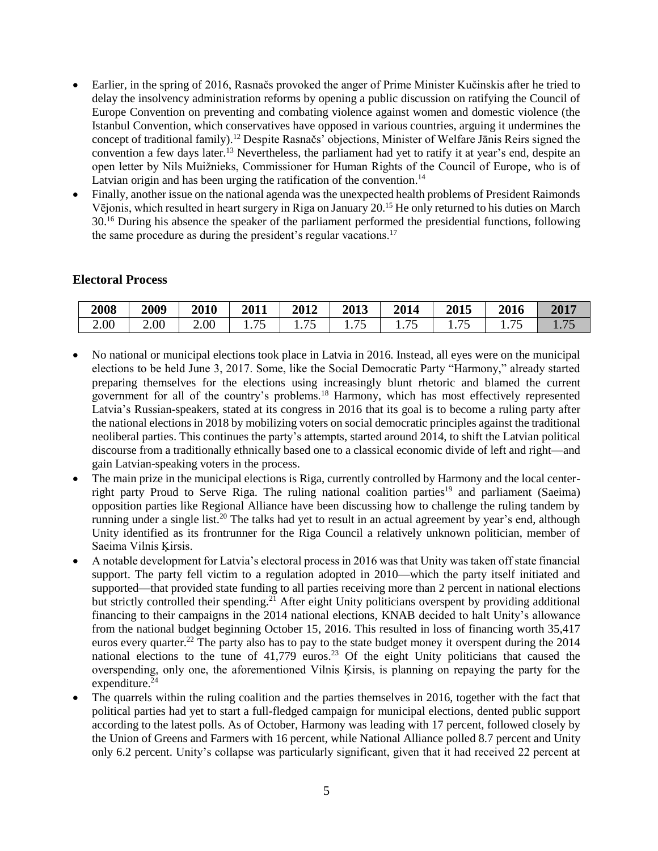- Earlier, in the spring of 2016, Rasnačs provoked the anger of Prime Minister Kučinskis after he tried to delay the insolvency administration reforms by opening a public discussion on ratifying the Council of Europe Convention on preventing and combating violence against women and domestic violence (the Istanbul Convention, which conservatives have opposed in various countries, arguing it undermines the concept of traditional family).<sup>12</sup> Despite Rasnačs' objections, Minister of Welfare Jānis Reirs signed the convention a few days later.<sup>13</sup> Nevertheless, the parliament had yet to ratify it at year's end, despite an open letter by Nils Muižnieks, Commissioner for Human Rights of the Council of Europe, who is of Latvian origin and has been urging the ratification of the convention.<sup>14</sup>
- Finally, another issue on the national agenda was the unexpected health problems of President Raimonds Vējonis, which resulted in heart surgery in Riga on January 20.<sup>15</sup> He only returned to his duties on March 30.<sup>16</sup> During his absence the speaker of the parliament performed the presidential functions, following the same procedure as during the president's regular vacations.<sup>17</sup>

#### **Electoral Process**

| 2008 | 2009 | 2010 | 2011          | 2012                           | 2013                                       | 2014   | 2015                                      | 2016 | 2017        |
|------|------|------|---------------|--------------------------------|--------------------------------------------|--------|-------------------------------------------|------|-------------|
| 2.00 | 2.00 | 2.00 | $-$<br>1. I J | ワミ<br>$\overline{\phantom{0}}$ | $\overline{\phantom{0}}$<br>. . <i>.</i> . | 1. I J | $\overline{\phantom{m}}$<br>1. <i>1</i> J | 75   | 75<br>1.1 J |

- No national or municipal elections took place in Latvia in 2016. Instead, all eyes were on the municipal elections to be held June 3, 2017. Some, like the Social Democratic Party "Harmony," already started preparing themselves for the elections using increasingly blunt rhetoric and blamed the current government for all of the country's problems.<sup>18</sup> Harmony, which has most effectively represented Latvia's Russian-speakers, stated at its congress in 2016 that its goal is to become a ruling party after the national elections in 2018 by mobilizing voters on social democratic principles against the traditional neoliberal parties. This continues the party's attempts, started around 2014, to shift the Latvian political discourse from a traditionally ethnically based one to a classical economic divide of left and right—and gain Latvian-speaking voters in the process.
- The main prize in the municipal elections is Riga, currently controlled by Harmony and the local centerright party Proud to Serve Riga. The ruling national coalition parties<sup>19</sup> and parliament (Saeima) opposition parties like Regional Alliance have been discussing how to challenge the ruling tandem by running under a single list.<sup>20</sup> The talks had yet to result in an actual agreement by year's end, although Unity identified as its frontrunner for the Riga Council a relatively unknown politician, member of Saeima Vilnis Ķirsis.
- A notable development for Latvia's electoral process in 2016 was that Unity was taken off state financial support. The party fell victim to a regulation adopted in 2010—which the party itself initiated and supported—that provided state funding to all parties receiving more than 2 percent in national elections but strictly controlled their spending.<sup>21</sup> After eight Unity politicians overspent by providing additional financing to their campaigns in the 2014 national elections, KNAB decided to halt Unity's allowance from the national budget beginning October 15, 2016. This resulted in loss of financing worth 35,417 euros every quarter.<sup>22</sup> The party also has to pay to the state budget money it overspent during the 2014 national elections to the tune of  $41,779$  euros.<sup>23</sup> Of the eight Unity politicians that caused the overspending, only one, the aforementioned Vilnis Ķirsis, is planning on repaying the party for the expenditure. $24$
- The quarrels within the ruling coalition and the parties themselves in 2016, together with the fact that political parties had yet to start a full-fledged campaign for municipal elections, dented public support according to the latest polls. As of October, Harmony was leading with 17 percent, followed closely by the Union of Greens and Farmers with 16 percent, while National Alliance polled 8.7 percent and Unity only 6.2 percent. Unity's collapse was particularly significant, given that it had received 22 percent at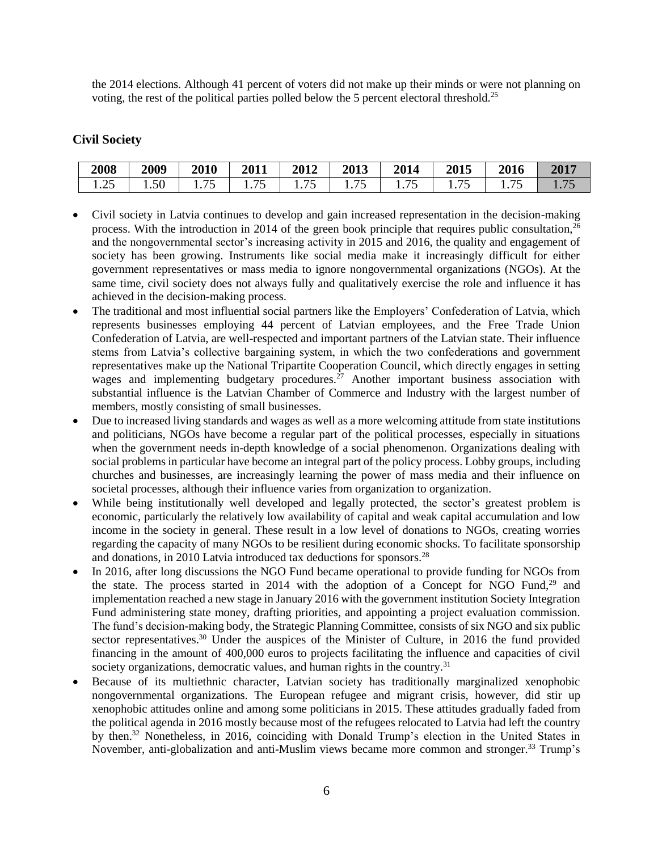the 2014 elections. Although 41 percent of voters did not make up their minds or were not planning on voting, the rest of the political parties polled below the 5 percent electoral threshold.<sup>25</sup>

#### **Civil Society**

| 2008   | 2009 | 2010  | 2011                             | 2012              | 2013           | 2014   | 2015           | 2016 | 2017 |
|--------|------|-------|----------------------------------|-------------------|----------------|--------|----------------|------|------|
| ن که ۱ | 1.50 | 1.1 J | $\overline{ }$<br>. . <i>.</i> . | --<br>$1.1 \circ$ | . . <i>.</i> . | 1. I J | . . <i>.</i> . |      |      |

- Civil society in Latvia continues to develop and gain increased representation in the decision-making process. With the introduction in 2014 of the green book principle that requires public consultation,  $26$ and the nongovernmental sector's increasing activity in 2015 and 2016, the quality and engagement of society has been growing. Instruments like social media make it increasingly difficult for either government representatives or mass media to ignore nongovernmental organizations (NGOs). At the same time, civil society does not always fully and qualitatively exercise the role and influence it has achieved in the decision-making process.
- The traditional and most influential social partners like the Employers' Confederation of Latvia, which represents businesses employing 44 percent of Latvian employees, and the Free Trade Union Confederation of Latvia, are well-respected and important partners of the Latvian state. Their influence stems from Latvia's collective bargaining system, in which the two confederations and government representatives make up the National Tripartite Cooperation Council, which directly engages in setting wages and implementing budgetary procedures.  $27$  Another important business association with substantial influence is the Latvian Chamber of Commerce and Industry with the largest number of members, mostly consisting of small businesses.
- Due to increased living standards and wages as well as a more welcoming attitude from state institutions and politicians, NGOs have become a regular part of the political processes, especially in situations when the government needs in-depth knowledge of a social phenomenon. Organizations dealing with social problems in particular have become an integral part of the policy process. Lobby groups, including churches and businesses, are increasingly learning the power of mass media and their influence on societal processes, although their influence varies from organization to organization.
- While being institutionally well developed and legally protected, the sector's greatest problem is economic, particularly the relatively low availability of capital and weak capital accumulation and low income in the society in general. These result in a low level of donations to NGOs, creating worries regarding the capacity of many NGOs to be resilient during economic shocks. To facilitate sponsorship and donations, in 2010 Latvia introduced tax deductions for sponsors.<sup>28</sup>
- In 2016, after long discussions the NGO Fund became operational to provide funding for NGOs from the state. The process started in 2014 with the adoption of a Concept for NGO Fund, $29$  and implementation reached a new stage in January 2016 with the government institution Society Integration Fund administering state money, drafting priorities, and appointing a project evaluation commission. The fund's decision-making body, the Strategic Planning Committee, consists of six NGO and six public sector representatives.<sup>30</sup> Under the auspices of the Minister of Culture, in 2016 the fund provided financing in the amount of 400,000 euros to projects facilitating the influence and capacities of civil society organizations, democratic values, and human rights in the country.<sup>31</sup>
- Because of its multiethnic character, Latvian society has traditionally marginalized xenophobic nongovernmental organizations. The European refugee and migrant crisis, however, did stir up xenophobic attitudes online and among some politicians in 2015. These attitudes gradually faded from the political agenda in 2016 mostly because most of the refugees relocated to Latvia had left the country by then. <sup>32</sup> Nonetheless, in 2016, coinciding with Donald Trump's election in the United States in November, anti-globalization and anti-Muslim views became more common and stronger.<sup>33</sup> Trump's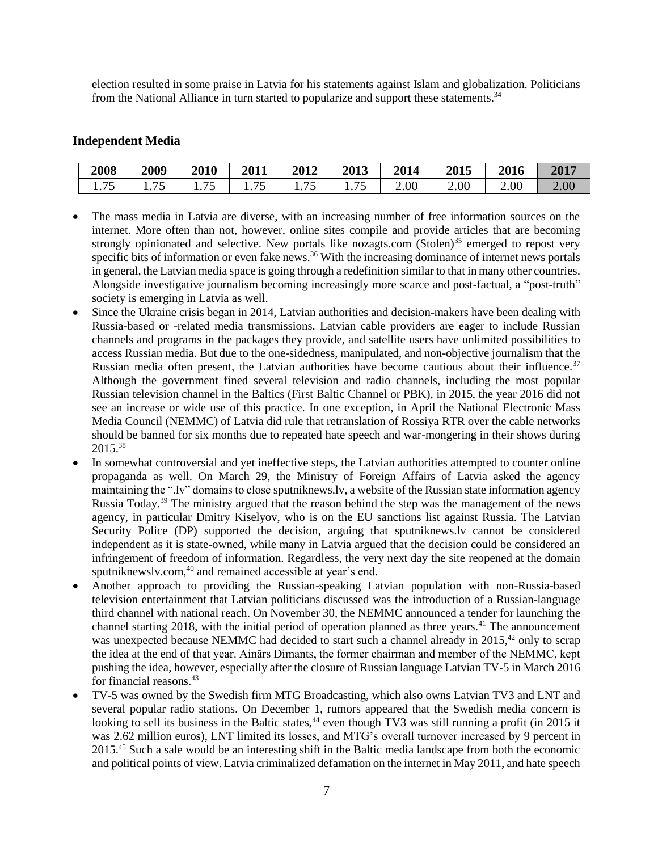election resulted in some praise in Latvia for his statements against Islam and globalization. Politicians from the National Alliance in turn started to popularize and support these statements.<sup>34</sup>

#### **Independent Media**

| 2008         | 2009                 | 2010         | 2011           | 2012                 | 2013   | 2014 | 2015 | 2016 | 2017     |
|--------------|----------------------|--------------|----------------|----------------------|--------|------|------|------|----------|
| 75<br>1. I J | 75<br>$\cdot$ $\sim$ | 75<br>1. I J | 1 . <i>. .</i> | 75<br>. . <i>.</i> . | 1. I J | 2.00 | 2.00 | 2.00 | $2.00\,$ |

- The mass media in Latvia are diverse, with an increasing number of free information sources on the internet. More often than not, however, online sites compile and provide articles that are becoming strongly opinionated and selective. New portals like nozagts.com  $(Stolen)^{35}$  emerged to repost very specific bits of information or even fake news.<sup>36</sup> With the increasing dominance of internet news portals in general, the Latvian media space is going through a redefinition similar to that in many other countries. Alongside investigative journalism becoming increasingly more scarce and post-factual, a "post-truth" society is emerging in Latvia as well.
- Since the Ukraine crisis began in 2014, Latvian authorities and decision-makers have been dealing with Russia-based or -related media transmissions. Latvian cable providers are eager to include Russian channels and programs in the packages they provide, and satellite users have unlimited possibilities to access Russian media. But due to the one-sidedness, manipulated, and non-objective journalism that the Russian media often present, the Latvian authorities have become cautious about their influence.<sup>37</sup> Although the government fined several television and radio channels, including the most popular Russian television channel in the Baltics (First Baltic Channel or PBK), in 2015, the year 2016 did not see an increase or wide use of this practice. In one exception, in April the National Electronic Mass Media Council (NEMMC) of Latvia did rule that retranslation of Rossiya RTR over the cable networks should be banned for six months due to repeated hate speech and war-mongering in their shows during 2015.<sup>38</sup>
- In somewhat controversial and yet ineffective steps, the Latvian authorities attempted to counter online propaganda as well. On March 29, the Ministry of Foreign Affairs of Latvia asked the agency maintaining the ".lv" domains to close sputniknews.lv, a website of the Russian state information agency Russia Today.<sup>39</sup> The ministry argued that the reason behind the step was the management of the news agency, in particular Dmitry Kiselyov, who is on the EU sanctions list against Russia. The Latvian Security Police (DP) supported the decision, arguing that sputniknews.lv cannot be considered independent as it is state-owned, while many in Latvia argued that the decision could be considered an infringement of freedom of information. Regardless, the very next day the site reopened at the domain sputniknewsly.com,<sup>40</sup> and remained accessible at year's end.
- Another approach to providing the Russian-speaking Latvian population with non-Russia-based television entertainment that Latvian politicians discussed was the introduction of a Russian-language third channel with national reach. On November 30, the NEMMC announced a tender for launching the channel starting 2018, with the initial period of operation planned as three years.<sup>41</sup> The announcement was unexpected because NEMMC had decided to start such a channel already in 2015,<sup>42</sup> only to scrap the idea at the end of that year. Ainārs Dimants, the former chairman and member of the NEMMC, kept pushing the idea, however, especially after the closure of Russian language Latvian TV-5 in March 2016 for financial reasons.<sup>43</sup>
- TV-5 was owned by the Swedish firm MTG Broadcasting, which also owns Latvian TV3 and LNT and several popular radio stations. On December 1, rumors appeared that the Swedish media concern is looking to sell its business in the Baltic states,<sup>44</sup> even though TV3 was still running a profit (in 2015 it was 2.62 million euros), LNT limited its losses, and MTG's overall turnover increased by 9 percent in 2015.<sup>45</sup> Such a sale would be an interesting shift in the Baltic media landscape from both the economic and political points of view. Latvia criminalized defamation on the internet in May 2011, and hate speech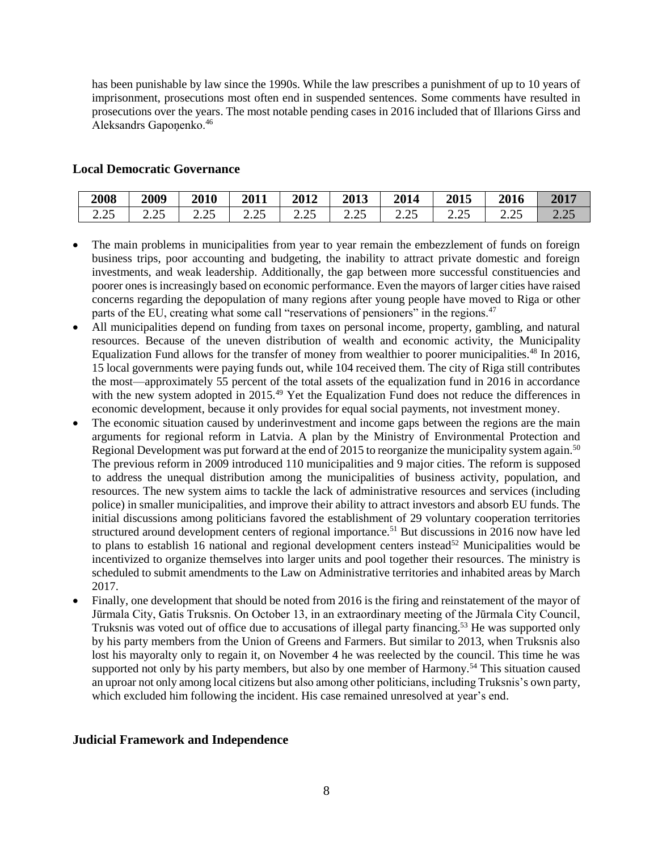has been punishable by law since the 1990s. While the law prescribes a punishment of up to 10 years of imprisonment, prosecutions most often end in suspended sentences. Some comments have resulted in prosecutions over the years. The most notable pending cases in 2016 included that of Illarions Girss and Aleksandrs Gaponenko.<sup>46</sup>

#### **Local Democratic Governance**

| 2008    | 2009          | 2010     | 2011                | 2012     | 2013    | 2014                | 2015          | 2016           | 2017                            |
|---------|---------------|----------|---------------------|----------|---------|---------------------|---------------|----------------|---------------------------------|
| 2.25    | $\mathcal{L}$ | $\Omega$ | $\Delta$ $\epsilon$ | $\Omega$ | ت کے وک | $\Delta$ $\epsilon$ | $\sim$ $\sim$ | $\cap \subset$ | $\cap$                          |
| ر ے . ب | ر ے . ب       | ت کے وک  | ں کے وک             | ر ے . ب  |         | ں ے ، ب             | 4.4J          | ر ے . ب        | $\overline{a}$ . $\overline{a}$ |

- The main problems in municipalities from year to year remain the embezzlement of funds on foreign business trips, poor accounting and budgeting, the inability to attract private domestic and foreign investments, and weak leadership. Additionally, the gap between more successful constituencies and poorer ones is increasingly based on economic performance. Even the mayors of larger cities have raised concerns regarding the depopulation of many regions after young people have moved to Riga or other parts of the EU, creating what some call "reservations of pensioners" in the regions.<sup>47</sup>
- All municipalities depend on funding from taxes on personal income, property, gambling, and natural resources. Because of the uneven distribution of wealth and economic activity, the Municipality Equalization Fund allows for the transfer of money from wealthier to poorer municipalities.<sup>48</sup> In 2016, 15 local governments were paying funds out, while 104 received them. The city of Riga still contributes the most—approximately 55 percent of the total assets of the equalization fund in 2016 in accordance with the new system adopted in 2015.<sup>49</sup> Yet the Equalization Fund does not reduce the differences in economic development, because it only provides for equal social payments, not investment money.
- The economic situation caused by underinvestment and income gaps between the regions are the main arguments for regional reform in Latvia. A plan by the Ministry of Environmental Protection and Regional Development was put forward at the end of 2015 to reorganize the municipality system again.<sup>50</sup> The previous reform in 2009 introduced 110 municipalities and 9 major cities. The reform is supposed to address the unequal distribution among the municipalities of business activity, population, and resources. The new system aims to tackle the lack of administrative resources and services (including police) in smaller municipalities, and improve their ability to attract investors and absorb EU funds. The initial discussions among politicians favored the establishment of 29 voluntary cooperation territories structured around development centers of regional importance.<sup>51</sup> But discussions in 2016 now have led to plans to establish 16 national and regional development centers instead<sup>52</sup> Municipalities would be incentivized to organize themselves into larger units and pool together their resources. The ministry is scheduled to submit amendments to the Law on Administrative territories and inhabited areas by March 2017.
- Finally, one development that should be noted from 2016 is the firing and reinstatement of the mayor of Jūrmala City, Gatis Truksnis. On October 13, in an extraordinary meeting of the Jūrmala City Council, Truksnis was voted out of office due to accusations of illegal party financing.<sup>53</sup> He was supported only by his party members from the Union of Greens and Farmers. But similar to 2013, when Truksnis also lost his mayoralty only to regain it, on November 4 he was reelected by the council. This time he was supported not only by his party members, but also by one member of Harmony.<sup>54</sup> This situation caused an uproar not only among local citizens but also among other politicians, including Truksnis's own party, which excluded him following the incident. His case remained unresolved at year's end.

#### **Judicial Framework and Independence**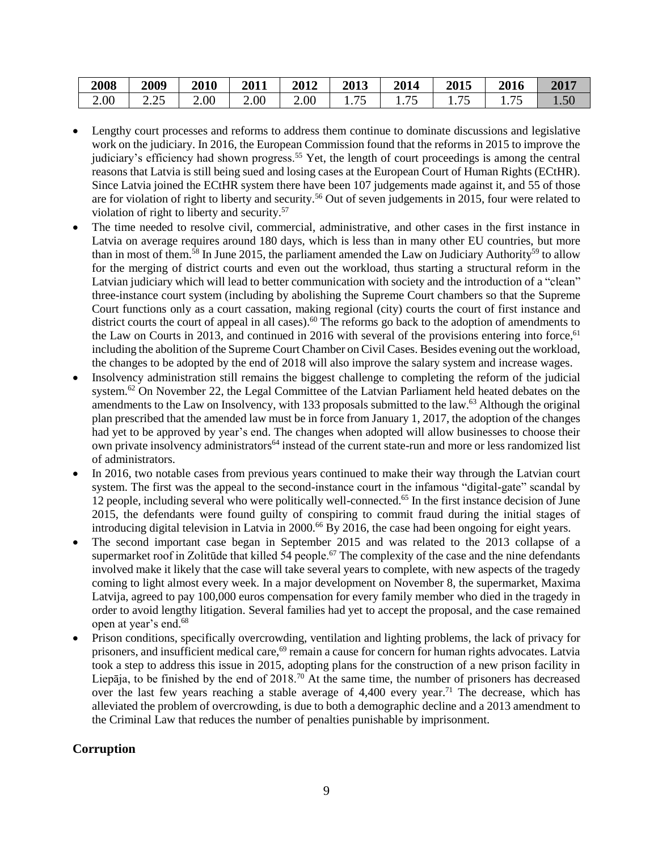| 2008 | 2009  | 2010 | 2011        | 2012 | 2013 | 2014           | <b>2015</b>              | <b>2016</b> | 2017           |
|------|-------|------|-------------|------|------|----------------|--------------------------|-------------|----------------|
| 2.00 | (ت کـ | 2.00 | $\angle 00$ | 2.00 |      | . . <i>.</i> . | <i>— —</i><br>$1.1 \cup$ | 75          | $1.50^{\circ}$ |

- Lengthy court processes and reforms to address them continue to dominate discussions and legislative work on the judiciary. In 2016, the European Commission found that the reforms in 2015 to improve the judiciary's efficiency had shown progress.<sup>55</sup> Yet, the length of court proceedings is among the central reasons that Latvia is still being sued and losing cases at the European Court of Human Rights (ECtHR). Since Latvia joined the ECtHR system there have been 107 judgements made against it, and 55 of those are for violation of right to liberty and security.<sup>56</sup> Out of seven judgements in 2015, four were related to violation of right to liberty and security.<sup>57</sup>
- The time needed to resolve civil, commercial, administrative, and other cases in the first instance in Latvia on average requires around 180 days, which is less than in many other EU countries, but more than in most of them.<sup>58</sup> In June 2015, the parliament amended the Law on Judiciary Authority<sup>59</sup> to allow for the merging of district courts and even out the workload, thus starting a structural reform in the Latvian judiciary which will lead to better communication with society and the introduction of a "clean" three-instance court system (including by abolishing the Supreme Court chambers so that the Supreme Court functions only as a court cassation, making regional (city) courts the court of first instance and district courts the court of appeal in all cases).<sup>60</sup> The reforms go back to the adoption of amendments to the Law on Courts in 2013, and continued in 2016 with several of the provisions entering into force,  $61$ including the abolition of the Supreme Court Chamber on Civil Cases. Besides evening out the workload, the changes to be adopted by the end of 2018 will also improve the salary system and increase wages.
- Insolvency administration still remains the biggest challenge to completing the reform of the judicial system.<sup>62</sup> On November 22, the Legal Committee of the Latvian Parliament held heated debates on the amendments to the Law on Insolvency, with 133 proposals submitted to the law.<sup>63</sup> Although the original plan prescribed that the amended law must be in force from January 1, 2017, the adoption of the changes had yet to be approved by year's end. The changes when adopted will allow businesses to choose their own private insolvency administrators<sup>64</sup> instead of the current state-run and more or less randomized list of administrators.
- In 2016, two notable cases from previous years continued to make their way through the Latvian court system. The first was the appeal to the second-instance court in the infamous "digital-gate" scandal by 12 people, including several who were politically well-connected. <sup>65</sup> In the first instance decision of June 2015, the defendants were found guilty of conspiring to commit fraud during the initial stages of introducing digital television in Latvia in 2000.<sup>66</sup> By 2016, the case had been ongoing for eight years.
- The second important case began in September 2015 and was related to the 2013 collapse of a supermarket roof in Zolitūde that killed 54 people.<sup>67</sup> The complexity of the case and the nine defendants involved make it likely that the case will take several years to complete, with new aspects of the tragedy coming to light almost every week. In a major development on November 8, the supermarket, Maxima Latvija, agreed to pay 100,000 euros compensation for every family member who died in the tragedy in order to avoid lengthy litigation. Several families had yet to accept the proposal, and the case remained open at year's end. 68
- Prison conditions, specifically overcrowding, ventilation and lighting problems, the lack of privacy for prisoners, and insufficient medical care,<sup>69</sup> remain a cause for concern for human rights advocates. Latvia took a step to address this issue in 2015, adopting plans for the construction of a new prison facility in Liepāja, to be finished by the end of  $2018$ .<sup>70</sup> At the same time, the number of prisoners has decreased over the last few years reaching a stable average of  $4,400$  every year.<sup>71</sup> The decrease, which has alleviated the problem of overcrowding, is due to both a demographic decline and a 2013 amendment to the Criminal Law that reduces the number of penalties punishable by imprisonment.

#### **Corruption**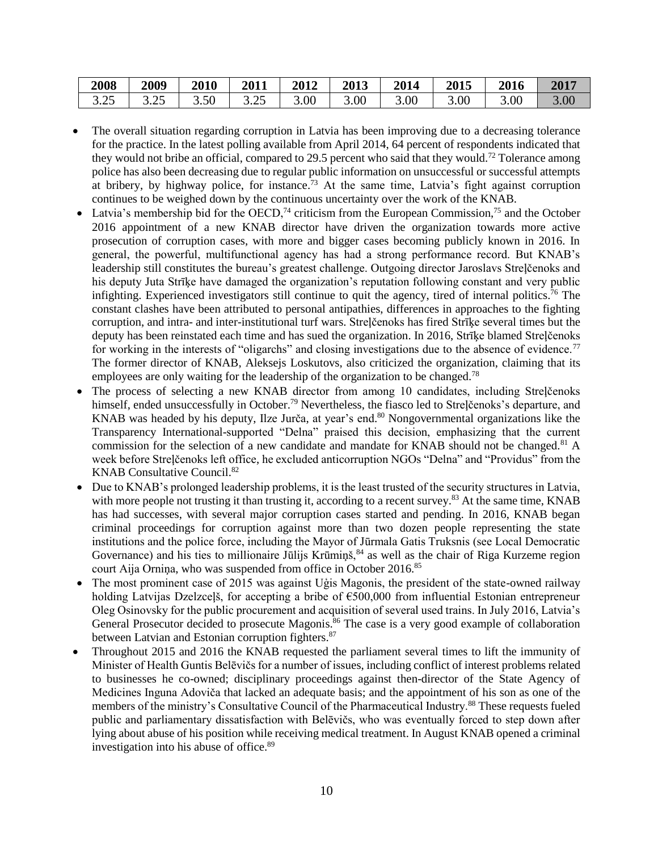| 2008         | 2009 | 2010 | 2011        | 2012 | 2013              | 2014 | <b>2015</b>       | 2016 | 2017 |
|--------------|------|------|-------------|------|-------------------|------|-------------------|------|------|
| つく<br>ن ∠. د | ت∠.د | 3.50 | つち<br>ر ے.د | 3.00 | 5.00 <sub>1</sub> | 3.00 | 3.00 <sub>1</sub> | 3.00 | 3.00 |

- The overall situation regarding corruption in Latvia has been improving due to a decreasing tolerance for the practice. In the latest polling available from April 2014, 64 percent of respondents indicated that they would not bribe an official, compared to 29.5 percent who said that they would.<sup>72</sup> Tolerance among police has also been decreasing due to regular public information on unsuccessful or successful attempts at bribery, by highway police, for instance.<sup>73</sup> At the same time, Latvia's fight against corruption continues to be weighed down by the continuous uncertainty over the work of the KNAB.
- Latvia's membership bid for the OECD,<sup>74</sup> criticism from the European Commission,<sup>75</sup> and the October 2016 appointment of a new KNAB director have driven the organization towards more active prosecution of corruption cases, with more and bigger cases becoming publicly known in 2016. In general, the powerful, multifunctional agency has had a strong performance record. But KNAB's leadership still constitutes the bureau's greatest challenge. Outgoing director Jaroslavs Streļčenoks and his deputy Juta Strīķe have damaged the organization's reputation following constant and very public infighting. Experienced investigators still continue to quit the agency, tired of internal politics.<sup>76</sup> The constant clashes have been attributed to personal antipathies, differences in approaches to the fighting corruption, and intra- and inter-institutional turf wars. Streļčenoks has fired Strīķe several times but the deputy has been reinstated each time and has sued the organization. In 2016, Strīķe blamed Streļčenoks for working in the interests of "oligarchs" and closing investigations due to the absence of evidence.<sup>77</sup> The former director of KNAB, Aleksejs Loskutovs, also criticized the organization, claiming that its employees are only waiting for the leadership of the organization to be changed.<sup>78</sup>
- The process of selecting a new KNAB director from among 10 candidates, including Streļčenoks himself, ended unsuccessfully in October.<sup>79</sup> Nevertheless, the fiasco led to Strelčenoks's departure, and KNAB was headed by his deputy, Ilze Jurča, at year's end.<sup>80</sup> Nongovernmental organizations like the Transparency International-supported "Delna" praised this decision, emphasizing that the current commission for the selection of a new candidate and mandate for KNAB should not be changed.<sup>81</sup> A week before Streļčenoks left office, he excluded anticorruption NGOs "Delna" and "Providus" from the KNAB Consultative Council.<sup>82</sup>
- Due to KNAB's prolonged leadership problems, it is the least trusted of the security structures in Latvia, with more people not trusting it than trusting it, according to a recent survey.<sup>83</sup> At the same time, KNAB has had successes, with several major corruption cases started and pending. In 2016, KNAB began criminal proceedings for corruption against more than two dozen people representing the state institutions and the police force, including the Mayor of Jūrmala Gatis Truksnis (see Local Democratic Governance) and his ties to millionaire Jūlijs Krūmiņš, 84 as well as the chair of Riga Kurzeme region court Aija Ornina, who was suspended from office in October 2016.<sup>85</sup>
- The most prominent case of 2015 was against Uģis Magonis, the president of the state-owned railway holding Latvijas Dzelzceļš, for accepting a bribe of €500,000 from influential Estonian entrepreneur Oleg Osinovsky for the public procurement and acquisition of several used trains. In July 2016, Latvia's General Prosecutor decided to prosecute Magonis.<sup>86</sup> The case is a very good example of collaboration between Latvian and Estonian corruption fighters.<sup>87</sup>
- Throughout 2015 and 2016 the KNAB requested the parliament several times to lift the immunity of Minister of Health Guntis Belēvičs for a number of issues, including conflict of interest problems related to businesses he co-owned; disciplinary proceedings against then-director of the State Agency of Medicines Inguna Adoviča that lacked an adequate basis; and the appointment of his son as one of the members of the ministry's Consultative Council of the Pharmaceutical Industry.<sup>88</sup> These requests fueled public and parliamentary dissatisfaction with Belēvičs, who was eventually forced to step down after lying about abuse of his position while receiving medical treatment. In August KNAB opened a criminal investigation into his abuse of office.<sup>89</sup>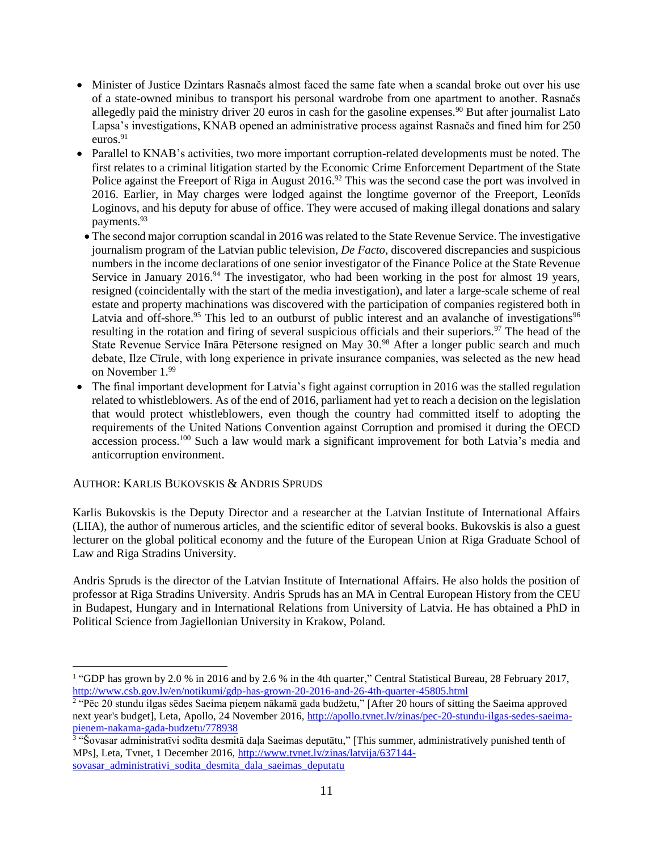- Minister of Justice Dzintars Rasnačs almost faced the same fate when a scandal broke out over his use of a state-owned minibus to transport his personal wardrobe from one apartment to another. Rasnačs allegedly paid the ministry driver 20 euros in cash for the gasoline expenses.<sup>90</sup> But after journalist Lato Lapsa's investigations, KNAB opened an administrative process against Rasnačs and fined him for 250 euros.<sup>91</sup>
- Parallel to KNAB's activities, two more important corruption-related developments must be noted. The first relates to a criminal litigation started by the Economic Crime Enforcement Department of the State Police against the Freeport of Riga in August 2016.<sup>92</sup> This was the second case the port was involved in 2016. Earlier, in May charges were lodged against the longtime governor of the Freeport, Leonīds Loginovs, and his deputy for abuse of office. They were accused of making illegal donations and salary payments.<sup>93</sup>
- The second major corruption scandal in 2016 was related to the State Revenue Service. The investigative journalism program of the Latvian public television, *De Facto,* discovered discrepancies and suspicious numbers in the income declarations of one senior investigator of the Finance Police at the State Revenue Service in January 2016.<sup>94</sup> The investigator, who had been working in the post for almost 19 years, resigned (coincidentally with the start of the media investigation), and later a large-scale scheme of real estate and property machinations was discovered with the participation of companies registered both in Latvia and off-shore.<sup>95</sup> This led to an outburst of public interest and an avalanche of investigations<sup>96</sup> resulting in the rotation and firing of several suspicious officials and their superiors.<sup>97</sup> The head of the State Revenue Service Ināra Pētersone resigned on May 30.<sup>98</sup> After a longer public search and much debate, Ilze Cīrule, with long experience in private insurance companies, was selected as the new head on November 1.99
- The final important development for Latvia's fight against corruption in 2016 was the stalled regulation related to whistleblowers. As of the end of 2016, parliament had yet to reach a decision on the legislation that would protect whistleblowers, even though the country had committed itself to adopting the requirements of the United Nations Convention against Corruption and promised it during the OECD accession process.<sup>100</sup> Such a law would mark a significant improvement for both Latvia's media and anticorruption environment.

#### AUTHOR: KARLIS BUKOVSKIS & ANDRIS SPRUDS

 $\overline{a}$ 

Karlis Bukovskis is the Deputy Director and a researcher at the Latvian Institute of International Affairs (LIIA), the author of numerous articles, and the scientific editor of several books. Bukovskis is also a guest lecturer on the global political economy and the future of the European Union at Riga Graduate School of Law and Riga Stradins University.

Andris Spruds is the director of the Latvian Institute of International Affairs. He also holds the position of professor at Riga Stradins University. Andris Spruds has an MA in Central European History from the CEU in Budapest, Hungary and in International Relations from University of Latvia. He has obtained a PhD in Political Science from Jagiellonian University in Krakow, Poland.

<sup>&</sup>lt;sup>1</sup> "GDP has grown by 2.0 % in 2016 and by 2.6 % in the 4th quarter," Central Statistical Bureau, 28 February 2017, <http://www.csb.gov.lv/en/notikumi/gdp-has-grown-20-2016-and-26-4th-quarter-45805.html>

<sup>&</sup>lt;sup>2</sup> "Pēc 20 stundu ilgas sēdes Saeima pieņem nākamā gada budžetu," [After 20 hours of sitting the Saeima approved next year's budget], Leta, Apollo, 24 November 2016, [http://apollo.tvnet.lv/zinas/pec-20-stundu-ilgas-sedes-saeima](http://apollo.tvnet.lv/zinas/pec-20-stundu-ilgas-sedes-saeima-pienem-nakama-gada-budzetu/778938)[pienem-nakama-gada-budzetu/778938](http://apollo.tvnet.lv/zinas/pec-20-stundu-ilgas-sedes-saeima-pienem-nakama-gada-budzetu/778938)

<sup>3</sup> "Šovasar administratīvi sodīta desmitā daļa Saeimas deputātu," [This summer, administratively punished tenth of MPs], Leta, Tvnet, 1 December 2016, [http://www.tvnet.lv/zinas/latvija/637144](http://www.tvnet.lv/zinas/latvija/637144-sovasar_administrativi_sodita_desmita_dala_saeimas_deputatu) sovasar administrativi sodita desmita dala saeimas deputatu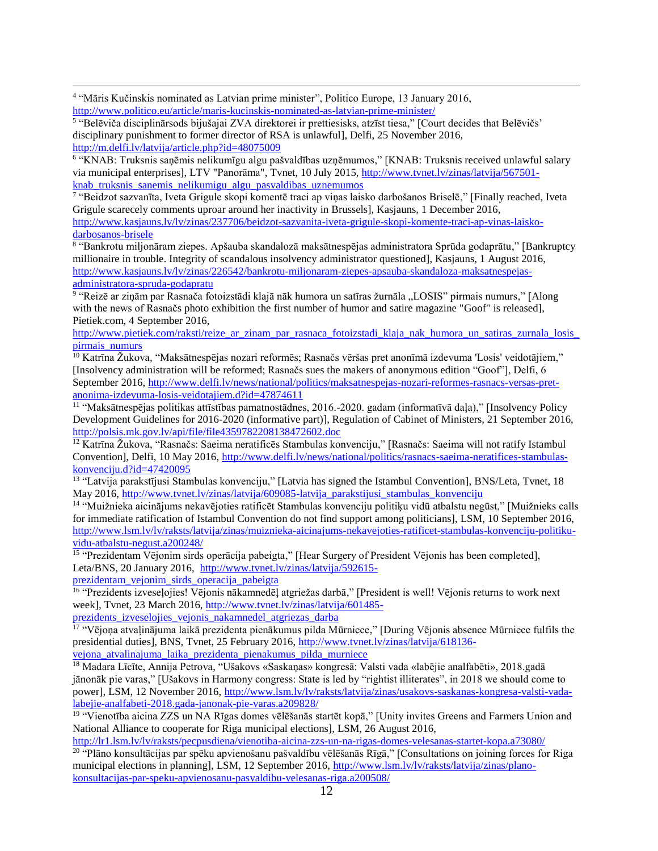4 "Māris Kučinskis nominated as Latvian prime minister", Politico Europe, 13 January 2016, <http://www.politico.eu/article/maris-kucinskis-nominated-as-latvian-prime-minister/>

 $\overline{a}$ 

5 "Belēviča disciplinārsods bijušajai ZVA direktorei ir prettiesisks, atzīst tiesa," [Court decides that Belēvičs' disciplinary punishment to former director of RSA is unlawful], Delfi, 25 November 2016, <http://m.delfi.lv/latvija/article.php?id=48075009>

6 "KNAB: Truksnis saņēmis nelikumīgu algu pašvaldības uzņēmumos," [KNAB: Truksnis received unlawful salary via municipal enterprises], LTV "Panorāma", Tvnet, 10 July 2015, [http://www.tvnet.lv/zinas/latvija/567501](http://www.tvnet.lv/zinas/latvija/567501-knab_truksnis_sanemis_nelikumigu_algu_pasvaldibas_uznemumos) knab truksnis sanemis nelikumigu algu pasvaldibas uznemumos

7 "Beidzot sazvanīta, Iveta Grigule skopi komentē traci ap viņas laisko darbošanos Briselē," [Finally reached, Iveta Grigule scarecely comments uproar around her inactivity in Brussels], Kasjauns, 1 December 2016, [http://www.kasjauns.lv/lv/zinas/237706/beidzot-sazvanita-iveta-grigule-skopi-komente-traci-ap-vinas-laisko](http://www.kasjauns.lv/lv/zinas/237706/beidzot-sazvanita-iveta-grigule-skopi-komente-traci-ap-vinas-laisko-darbosanos-brisele)[darbosanos-brisele](http://www.kasjauns.lv/lv/zinas/237706/beidzot-sazvanita-iveta-grigule-skopi-komente-traci-ap-vinas-laisko-darbosanos-brisele)

8 "Bankrotu miljonāram ziepes. Apšauba skandalozā maksātnespējas administratora Sprūda godaprātu," [Bankruptcy millionaire in trouble. Integrity of scandalous insolvency administrator questioned], Kasjauns, 1 August 2016, [http://www.kasjauns.lv/lv/zinas/226542/bankrotu-miljonaram-ziepes-apsauba-skandaloza-maksatnespejas](http://www.kasjauns.lv/lv/zinas/226542/bankrotu-miljonaram-ziepes-apsauba-skandaloza-maksatnespejas-administratora-spruda-godapratu)[administratora-spruda-godapratu](http://www.kasjauns.lv/lv/zinas/226542/bankrotu-miljonaram-ziepes-apsauba-skandaloza-maksatnespejas-administratora-spruda-godapratu)

<sup>9</sup> "Reizē ar ziņām par Rasnača fotoizstādi klajā nāk humora un satīras žurnāla "LOSIS" pirmais numurs," [Along with the news of Rasnačs photo exhibition the first number of humor and satire magazine "Goof" is released], Pietiek.com, 4 September 2016,

[http://www.pietiek.com/raksti/reize\\_ar\\_zinam\\_par\\_rasnaca\\_fotoizstadi\\_klaja\\_nak\\_humora\\_un\\_satiras\\_zurnala\\_losis\\_](http://www.pietiek.com/raksti/reize_ar_zinam_par_rasnaca_fotoizstadi_klaja_nak_humora_un_satiras_zurnala_losis_pirmais_numurs) [pirmais\\_numurs](http://www.pietiek.com/raksti/reize_ar_zinam_par_rasnaca_fotoizstadi_klaja_nak_humora_un_satiras_zurnala_losis_pirmais_numurs)

<sup>10</sup> Katrīna Žukova, "Maksātnespējas nozari reformēs; Rasnačs vēršas pret anonīmā izdevuma 'Losis' veidotājiem," [Insolvency administration will be reformed; Rasnačs sues the makers of anonymous edition "Goof"], Delfi, 6 September 2016, [http://www.delfi.lv/news/national/politics/maksatnespejas-nozari-reformes-rasnacs-versas-pret](http://www.delfi.lv/news/national/politics/maksatnespejas-nozari-reformes-rasnacs-versas-pret-anonima-izdevuma-losis-veidotajiem.d?id=47874611)[anonima-izdevuma-losis-veidotajiem.d?id=47874611](http://www.delfi.lv/news/national/politics/maksatnespejas-nozari-reformes-rasnacs-versas-pret-anonima-izdevuma-losis-veidotajiem.d?id=47874611)

<sup>11</sup> "Maksātnespējas politikas attīstības pamatnostādnes, 2016.-2020. gadam (informatīvā daļa)," [Insolvency Policy Development Guidelines for 2016-2020 (informative part)], Regulation of Cabinet of Ministers, 21 September 2016, <http://polsis.mk.gov.lv/api/file/file4359782208138472602.doc>

<sup>12</sup> Katrīna Žukova, "Rasnačs: Saeima neratificēs Stambulas konvenciju," [Rasnačs: Saeima will not ratify Istambul Convention], Delfi, 10 May 2016, [http://www.delfi.lv/news/national/politics/rasnacs-saeima-neratifices-stambulas](http://www.delfi.lv/news/national/politics/rasnacs-saeima-neratifices-stambulas-konvenciju.d?id=47420095)konvenciju.d? $id=47420095$ 

<sup>13</sup> "Latvija parakstījusi Stambulas konvenciju," [Latvia has signed the Istambul Convention], BNS/Leta, Tvnet, 18 May 2016, [http://www.tvnet.lv/zinas/latvija/609085-latvija\\_parakstijusi\\_stambulas\\_konvenciju](http://www.tvnet.lv/zinas/latvija/609085-latvija_parakstijusi_stambulas_konvenciju)

14 "Muižnieka aicinājums nekavējoties ratificēt Stambulas konvenciju politiķu vidū atbalstu negūst," [Muižnieks calls for immediate ratification of Istambul Convention do not find support among politicians], LSM, 10 September 2016, [http://www.lsm.lv/lv/raksts/latvija/zinas/muiznieka-aicinajums-nekavejoties-ratificet-stambulas-konvenciju-politiku](http://www.lsm.lv/lv/raksts/latvija/zinas/muiznieka-aicinajums-nekavejoties-ratificet-stambulas-konvenciju-politiku-vidu-atbalstu-negust.a200248/)[vidu-atbalstu-negust.a200248/](http://www.lsm.lv/lv/raksts/latvija/zinas/muiznieka-aicinajums-nekavejoties-ratificet-stambulas-konvenciju-politiku-vidu-atbalstu-negust.a200248/)

<sup>15</sup> "Prezidentam Vējonim sirds operācija pabeigta," [Hear Surgery of President Vējonis has been completed], Leta/BNS, 20 January 2016, [http://www.tvnet.lv/zinas/latvija/592615-](http://www.tvnet.lv/zinas/latvija/592615-prezidentam_vejonim_sirds_operacija_pabeigta)

[prezidentam\\_vejonim\\_sirds\\_operacija\\_pabeigta](http://www.tvnet.lv/zinas/latvija/592615-prezidentam_vejonim_sirds_operacija_pabeigta)

<sup>16</sup> "Prezidents izveseļojies! Vējonis nākamnedēļ atgriežas darbā," [President is well! Vējonis returns to work next week], Tvnet, 23 March 2016, [http://www.tvnet.lv/zinas/latvija/601485-](http://www.tvnet.lv/zinas/latvija/601485-prezidents_izveselojies_vejonis_nakamnedel_atgriezas_darba)

prezidents izveselojies vejonis nakamnedel atgriezas darba

<sup>17</sup> "Vējoņa atvaļinājuma laikā prezidenta pienākumus pilda Mūrniece," [During Vējonis absence Mūrniece fulfils the presidential duties], BNS, Tvnet, 25 February 2016, [http://www.tvnet.lv/zinas/latvija/618136](http://www.tvnet.lv/zinas/latvija/618136-vejona_atvalinajuma_laika_prezidenta_pienakumus_pilda_murniece) vejona atvalinajuma laika prezidenta pienakumus pilda murniece

<sup>18</sup> Madara Līcīte, Annija Petrova, "Ušakovs «Saskaņas» kongresā: Valsti vada «labējie analfabēti», 2018.gadā jānonāk pie varas," [Ušakovs in Harmony congress: State is led by "rightist illiterates", in 2018 we should come to power], LSM, 12 November 2016[, http://www.lsm.lv/lv/raksts/latvija/zinas/usakovs-saskanas-kongresa-valsti-vada](http://www.lsm.lv/lv/raksts/latvija/zinas/usakovs-saskanas-kongresa-valsti-vada-labejie-analfabeti-2018.gada-janonak-pie-varas.a209828/)[labejie-analfabeti-2018.gada-janonak-pie-varas.a209828/](http://www.lsm.lv/lv/raksts/latvija/zinas/usakovs-saskanas-kongresa-valsti-vada-labejie-analfabeti-2018.gada-janonak-pie-varas.a209828/)

<sup>19</sup> "Vienotība aicina ZZS un NA Rīgas domes vēlēšanās startēt kopā," [Unity invites Greens and Farmers Union and National Alliance to cooperate for Riga municipal elections], LSM, 26 August 2016,

<http://lr1.lsm.lv/lv/raksts/pecpusdiena/vienotiba-aicina-zzs-un-na-rigas-domes-velesanas-startet-kopa.a73080/> <sup>20</sup> "Plāno konsultācijas par spēku apvienošanu pašvaldību vēlēšanās Rīgā," [Consultations on joining forces for Riga

municipal elections in planning], LSM, 12 September 2016, [http://www.lsm.lv/lv/raksts/latvija/zinas/plano](http://www.lsm.lv/lv/raksts/latvija/zinas/plano-konsultacijas-par-speku-apvienosanu-pasvaldibu-velesanas-riga.a200508/)[konsultacijas-par-speku-apvienosanu-pasvaldibu-velesanas-riga.a200508/](http://www.lsm.lv/lv/raksts/latvija/zinas/plano-konsultacijas-par-speku-apvienosanu-pasvaldibu-velesanas-riga.a200508/)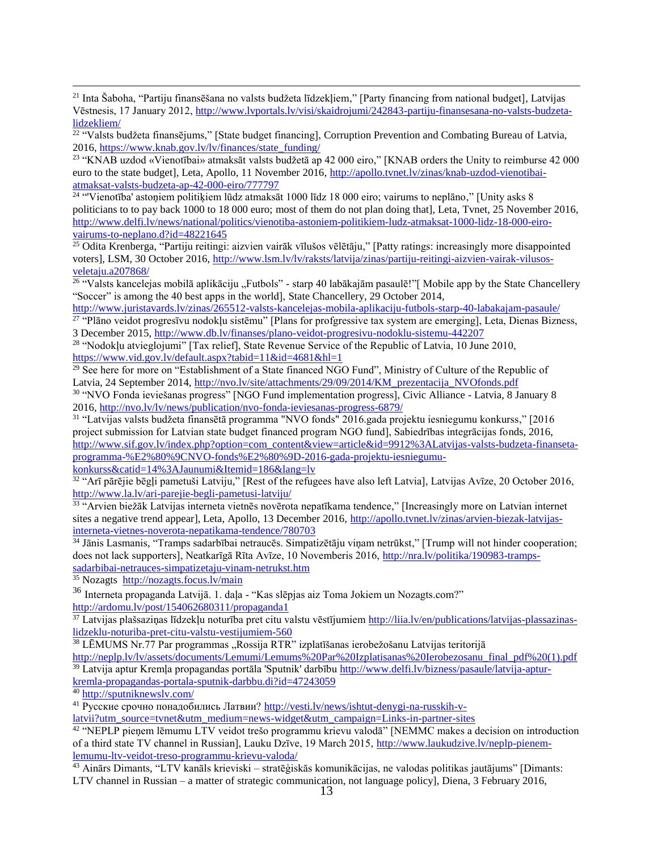<sup>21</sup> Inta Šaboha, "Partiju finansēšana no valsts budžeta līdzekļiem," [Party financing from national budget], Latvijas Vēstnesis, 17 January 2012, [http://www.lvportals.lv/visi/skaidrojumi/242843-partiju-finansesana-no-valsts-budzeta](http://www.lvportals.lv/visi/skaidrojumi/242843-partiju-finansesana-no-valsts-budzeta-lidzekliem/)[lidzekliem/](http://www.lvportals.lv/visi/skaidrojumi/242843-partiju-finansesana-no-valsts-budzeta-lidzekliem/)

<sup>22</sup> "Valsts budžeta finansējums," [State budget financing], Corruption Prevention and Combating Bureau of Latvia, 2016[, https://www.knab.gov.lv/lv/finances/state\\_funding/](https://www.knab.gov.lv/lv/finances/state_funding/)

<sup>23</sup> "KNAB uzdod «Vienotībai» atmaksāt valsts budžetā ap 42 000 eiro," [KNAB orders the Unity to reimburse 42 000 euro to the state budget], Leta, Apollo, 11 November 2016, http://apollo.tvnet.ly/zinas/knab-uzdod-vienotibai[atmaksat-valsts-budzeta-ap-42-000-eiro/777797](http://apollo.tvnet.lv/zinas/knab-uzdod-vienotibai-atmaksat-valsts-budzeta-ap-42-000-eiro/777797)

<sup>24</sup> "Vienotība' astoņiem politiķiem lūdz atmaksāt 1000 līdz 18 000 eiro; vairums to neplāno," [Unity asks 8 politicians to to pay back 1000 to 18 000 euro; most of them do not plan doing that], Leta, Tvnet, 25 November 2016, [http://www.delfi.lv/news/national/politics/vienotiba-astoniem-politikiem-ludz-atmaksat-1000-lidz-18-000-eiro](http://www.delfi.lv/news/national/politics/vienotiba-astoniem-politikiem-ludz-atmaksat-1000-lidz-18-000-eiro-vairums-to-neplano.d?id=48221645)[vairums-to-neplano.d?id=48221645](http://www.delfi.lv/news/national/politics/vienotiba-astoniem-politikiem-ludz-atmaksat-1000-lidz-18-000-eiro-vairums-to-neplano.d?id=48221645)

 $^{25}$  Odita Krenberga, "Partiju reitingi: aizvien vairāk vīlušos vēlētāju," [Patty ratings: increasingly more disappointed voters], LSM, 30 October 2016, [http://www.lsm.lv/lv/raksts/latvija/zinas/partiju-reitingi-aizvien-vairak-vilusos](http://www.lsm.lv/lv/raksts/latvija/zinas/partiju-reitingi-aizvien-vairak-vilusos-veletaju.a207868/)[veletaju.a207868/](http://www.lsm.lv/lv/raksts/latvija/zinas/partiju-reitingi-aizvien-vairak-vilusos-veletaju.a207868/)

<sup>26</sup> "Valsts kancelejas mobilā aplikāciju "Futbols" - starp 40 labākajām pasaulē!"[Mobile app by the State Chancellery "Soccer" is among the 40 best apps in the world], State Chancellery, 29 October 2014,

<http://www.juristavards.lv/zinas/265512-valsts-kancelejas-mobila-aplikaciju-futbols-starp-40-labakajam-pasaule/> <sup>27</sup> "Plāno veidot progresīvu nodokļu sistēmu" [Plans for profgressive tax system are emerging], Leta, Dienas Bizness,

3 December 2015[, http://www.db.lv/finanses/plano-veidot-progresivu-nodoklu-sistemu-442207](http://www.db.lv/finanses/plano-veidot-progresivu-nodoklu-sistemu-442207)

<sup>28</sup> "Nodokļu atvieglojumi" [Tax relief], State Revenue Service of the Republic of Latvia, 10 June 2010, <https://www.vid.gov.lv/default.aspx?tabid=11&id=4681&hl=1>

<sup>29</sup> See here for more on "Establishment of a State financed NGO Fund", Ministry of Culture of the Republic of Latvia, 24 September 2014, [http://nvo.lv/site/attachments/29/09/2014/KM\\_prezentacija\\_NVOfonds.pdf](http://nvo.lv/site/attachments/29/09/2014/KM_prezentacija_NVOfonds.pdf)

30 "NVO Fonda ieviešanas progress" [NGO Fund implementation progress], Civic Alliance - Latvia, 8 January 8 2016[, http://nvo.lv/lv/news/publication/nvo-fonda-ieviesanas-progress-6879/](http://nvo.lv/lv/news/publication/nvo-fonda-ieviesanas-progress-6879/)

31 "Latvijas valsts budžeta finansētā programma "NVO fonds" 2016.gada projektu iesniegumu konkurss," [2016 project submission for Latvian state budget financed program NGO fund], Sabiedrības integrācijas fonds, 2016, [http://www.sif.gov.lv/index.php?option=com\\_content&view=article&id=9912%3ALatvijas-valsts-budzeta-finanseta](http://www.sif.gov.lv/index.php?option=com_content&view=article&id=9912%3ALatvijas-valsts-budzeta-finanseta-programma-%E2%80%9CNVO-fonds%E2%80%9D-2016-gada-projektu-iesniegumu-konkurss&catid=14%3AJaunumi&Itemid=186&lang=lv)[programma-%E2%80%9CNVO-fonds%E2%80%9D-2016-gada-projektu-iesniegumu](http://www.sif.gov.lv/index.php?option=com_content&view=article&id=9912%3ALatvijas-valsts-budzeta-finanseta-programma-%E2%80%9CNVO-fonds%E2%80%9D-2016-gada-projektu-iesniegumu-konkurss&catid=14%3AJaunumi&Itemid=186&lang=lv)[konkurss&catid=14%3AJaunumi&Itemid=186&lang=lv](http://www.sif.gov.lv/index.php?option=com_content&view=article&id=9912%3ALatvijas-valsts-budzeta-finanseta-programma-%E2%80%9CNVO-fonds%E2%80%9D-2016-gada-projektu-iesniegumu-konkurss&catid=14%3AJaunumi&Itemid=186&lang=lv)

<sup>32</sup> "Arī pārējie bēgļi pametuši Latviju," [Rest of the refugees have also left Latvia], Latvijas Avīze, 20 October 2016, <http://www.la.lv/ari-parejie-begli-pametusi-latviju/>

33 "Arvien biežāk Latvijas interneta vietnēs novērota nepatīkama tendence," [Increasingly more on Latvian internet sites a negative trend appear], Leta, Apollo, 13 December 2016[, http://apollo.tvnet.lv/zinas/arvien-biezak-latvijas](http://apollo.tvnet.lv/zinas/arvien-biezak-latvijas-interneta-vietnes-noverota-nepatikama-tendence/780703)[interneta-vietnes-noverota-nepatikama-tendence/780703](http://apollo.tvnet.lv/zinas/arvien-biezak-latvijas-interneta-vietnes-noverota-nepatikama-tendence/780703)

<sup>34</sup> Jānis Lasmanis, "Tramps sadarbībai netraucēs. Simpatizētāju viņam netrūkst," [Trump will not hinder cooperation; does not lack supporters], Neatkarīgā Rīta Avīze, 10 Novemberis 2016, [http://nra.lv/politika/190983-tramps](http://nra.lv/politika/190983-tramps-sadarbibai-netrauces-simpatizetaju-vinam-netrukst.htm)[sadarbibai-netrauces-simpatizetaju-vinam-netrukst.htm](http://nra.lv/politika/190983-tramps-sadarbibai-netrauces-simpatizetaju-vinam-netrukst.htm)

<sup>35</sup> Nozagts <http://nozagts.focus.lv/main>

<sup>36</sup> Interneta propaganda Latvijā. 1. daļa - "Kas slēpjas aiz Toma Jokiem un Nozagts.com?" <http://ardomu.lv/post/154062680311/propaganda1>

<sup>37</sup> Latvijas plašsaziņas līdzekļu noturība pret citu valstu vēstījumiem [http://liia.lv/en/publications/latvijas-plassazinas](http://liia.lv/en/publications/latvijas-plassazinas-lidzeklu-noturiba-pret-citu-valstu-vestijumiem-560)[lidzeklu-noturiba-pret-citu-valstu-vestijumiem-560](http://liia.lv/en/publications/latvijas-plassazinas-lidzeklu-noturiba-pret-citu-valstu-vestijumiem-560)

<sup>38</sup> LĒMUMS Nr.77 Par programmas "Rossija RTR" izplatīšanas ierobežošanu Latvijas teritorijā

[http://neplp.lv/lv/assets/documents/Lemumi/Lemums%20Par%20Izplatisanas%20Ierobezosanu\\_final\\_pdf%20\(1\).pdf](http://neplp.lv/lv/assets/documents/Lemumi/Lemums%20Par%20Izplatisanas%20Ierobezosanu_final_pdf%20(1).pdf) <sup>39</sup> Latvija aptur Kremļa propagandas portāla 'Sputnik' darbību [http://www.delfi.lv/bizness/pasaule/latvija-aptur-](http://www.delfi.lv/bizness/pasaule/latvija-aptur-kremla-propagandas-portala-sputnik-darbibu.d?id=47243059)

[kremla-propagandas-portala-sputnik-darbbu.di?id=47243059](http://www.delfi.lv/bizness/pasaule/latvija-aptur-kremla-propagandas-portala-sputnik-darbibu.d?id=47243059)

<sup>40</sup> <http://sputniknewslv.com/>

 $\overline{a}$ 

<sup>41</sup> Русские срочно понадобились Латвии? [http://vesti.lv/news/ishtut-denygi-na-russkih-v-](http://vesti.lv/news/ishtut-denygi-na-russkih-v-latvii?utm_source=tvnet&utm_medium=news-widget&utm_campaign=Links-in-partner-sites)

[latvii?utm\\_source=tvnet&utm\\_medium=news-widget&utm\\_campaign=Links-in-partner-sites](http://vesti.lv/news/ishtut-denygi-na-russkih-v-latvii?utm_source=tvnet&utm_medium=news-widget&utm_campaign=Links-in-partner-sites)

42 "NEPLP pieņem lēmumu LTV veidot trešo programmu krievu valodā" [NEMMC makes a decision on introduction of a third state TV channel in Russian], Lauku Dzīve, 19 March 2015, http://www.laukudzive.ly/neplp-pienem[lemumu-ltv-veidot-treso-programmu-krievu-valoda/](http://www.laukudzive.lv/neplp-pienem-lemumu-ltv-veidot-treso-programmu-krievu-valoda/)

<sup>43</sup> Ainārs Dimants, "LTV kanāls krieviski – stratēģiskās komunikācijas, ne valodas politikas jautājums" [Dimants: LTV channel in Russian – a matter of strategic communication, not language policy], Diena, 3 February 2016,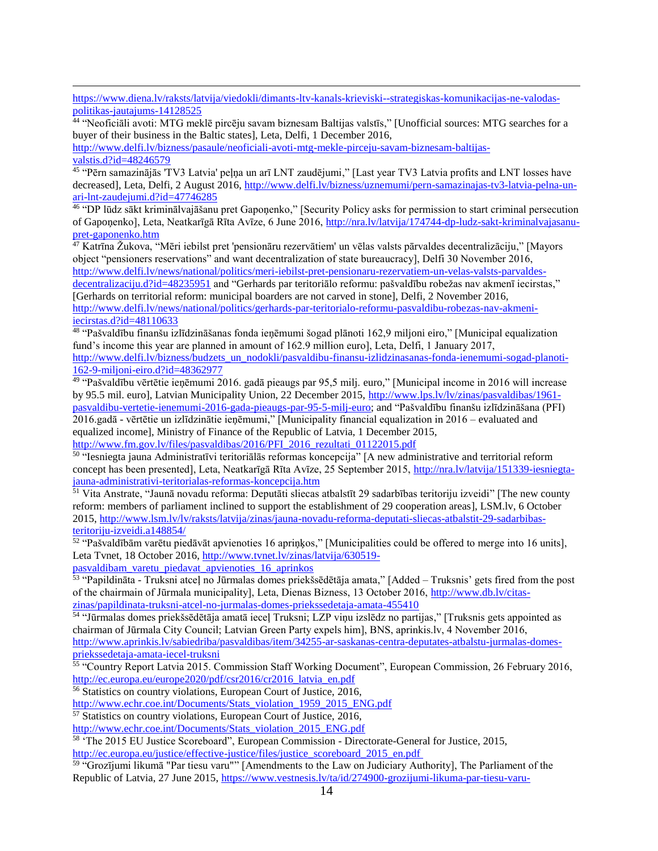$\overline{a}$ [https://www.diena.lv/raksts/latvija/viedokli/dimants-ltv-kanals-krieviski--strategiskas-komunikacijas-ne-valodas](https://www.diena.lv/raksts/latvija/viedokli/dimants-ltv-kanals-krieviski--strategiskas-komunikacijas-ne-valodas-politikas-jautajums-14128525)[politikas-jautajums-14128525](https://www.diena.lv/raksts/latvija/viedokli/dimants-ltv-kanals-krieviski--strategiskas-komunikacijas-ne-valodas-politikas-jautajums-14128525)

44 "Neoficiāli avoti: MTG meklē pircēju savam biznesam Baltijas valstīs," [Unofficial sources: MTG searches for a buyer of their business in the Baltic states], Leta, Delfi, 1 December 2016,

[http://www.delfi.lv/bizness/pasaule/neoficiali-avoti-mtg-mekle-pirceju-savam-biznesam-baltijas](http://www.delfi.lv/bizness/pasaule/neoficiali-avoti-mtg-mekle-pirceju-savam-biznesam-baltijas-valstis.d?id=48246579)[valstis.d?id=48246579](http://www.delfi.lv/bizness/pasaule/neoficiali-avoti-mtg-mekle-pirceju-savam-biznesam-baltijas-valstis.d?id=48246579)

45 "Pērn samazinājās 'TV3 Latvia' peļņa un arī LNT zaudējumi," [Last year TV3 Latvia profits and LNT losses have decreased], Leta, Delfi, 2 August 2016, [http://www.delfi.lv/bizness/uznemumi/pern-samazinajas-tv3-latvia-pelna-un](http://www.delfi.lv/bizness/uznemumi/pern-samazinajas-tv3-latvia-pelna-un-ari-lnt-zaudejumi.d?id=47746285)[ari-lnt-zaudejumi.d?id=47746285](http://www.delfi.lv/bizness/uznemumi/pern-samazinajas-tv3-latvia-pelna-un-ari-lnt-zaudejumi.d?id=47746285)

46 "DP lūdz sākt kriminālvajāšanu pret Gapoņenko," [Security Policy asks for permission to start criminal persecution of Gapoņenko], Leta, Neatkarīgā Rīta Avīze, 6 June 2016, [http://nra.lv/latvija/174744-dp-ludz-sakt-kriminalvajasanu](http://nra.lv/latvija/174744-dp-ludz-sakt-kriminalvajasanu-pret-gaponenko.htm)[pret-gaponenko.htm](http://nra.lv/latvija/174744-dp-ludz-sakt-kriminalvajasanu-pret-gaponenko.htm)

 $^{47}$  Katrīna Žukova, "Mēri iebilst pret 'pensionāru rezervātiem' un vēlas valsts pārvaldes decentralizāciju," [Mayors object "pensioners reservations" and want decentralization of state bureaucracy], Delfi 30 November 2016, [http://www.delfi.lv/news/national/politics/meri-iebilst-pret-pensionaru-rezervatiem-un-velas-valsts-parvaldes-](http://www.delfi.lv/news/national/politics/meri-iebilst-pret-pensionaru-rezervatiem-un-velas-valsts-parvaldes-decentralizaciju.d?id=48235951)

[decentralizaciju.d?id=48235951](http://www.delfi.lv/news/national/politics/meri-iebilst-pret-pensionaru-rezervatiem-un-velas-valsts-parvaldes-decentralizaciju.d?id=48235951) and "Gerhards par teritoriālo reformu: pašvaldību robežas nav akmenī iecirstas," [Gerhards on territorial reform: municipal boarders are not carved in stone], Delfi, 2 November 2016, [http://www.delfi.lv/news/national/politics/gerhards-par-teritorialo-reformu-pasvaldibu-robezas-nav-akmeni-](http://www.delfi.lv/news/national/politics/gerhards-par-teritorialo-reformu-pasvaldibu-robezas-nav-akmeni-iecirstas.d?id=48110633)

[iecirstas.d?id=48110633](http://www.delfi.lv/news/national/politics/gerhards-par-teritorialo-reformu-pasvaldibu-robezas-nav-akmeni-iecirstas.d?id=48110633) 

48 "Pašvaldību finanšu izlīdzināšanas fonda ieņēmumi šogad plānoti 162,9 miljoni eiro," [Municipal equalization fund's income this year are planned in amount of 162.9 million euro], Leta, Delfi, 1 January 2017, [http://www.delfi.lv/bizness/budzets\\_un\\_nodokli/pasvaldibu-finansu-izlidzinasanas-fonda-ienemumi-sogad-planoti-](http://www.delfi.lv/bizness/budzets_un_nodokli/pasvaldibu-finansu-izlidzinasanas-fonda-ienemumi-sogad-planoti-162-9-miljoni-eiro.d?id=48362977)[162-9-miljoni-eiro.d?id=48362977](http://www.delfi.lv/bizness/budzets_un_nodokli/pasvaldibu-finansu-izlidzinasanas-fonda-ienemumi-sogad-planoti-162-9-miljoni-eiro.d?id=48362977)

49 "Pašvaldību vērtētie ieņēmumi 2016. gadā pieaugs par 95,5 milj. euro," [Municipal income in 2016 will increase by 95.5 mil. euro], Latvian Municipality Union, 22 December 2015[, http://www.lps.lv/lv/zinas/pasvaldibas/1961](http://www.lps.lv/lv/zinas/pasvaldibas/1961-pasvaldibu-vertetie-ienemumi-2016-gada-pieaugs-par-95-5-milj-euro) [pasvaldibu-vertetie-ienemumi-2016-gada-pieaugs-par-95-5-milj-euro;](http://www.lps.lv/lv/zinas/pasvaldibas/1961-pasvaldibu-vertetie-ienemumi-2016-gada-pieaugs-par-95-5-milj-euro) and "Pašvaldību finanšu izlīdzināšana (PFI) 2016.gadā - vērtētie un izlīdzinātie ieņēmumi," [Municipality financial equalization in 2016 – evaluated and equalized income], Ministry of Finance of the Republic of Latvia, 1 December 2015, [http://www.fm.gov.lv/files/pasvaldibas/2016/PFI\\_2016\\_rezultati\\_01122015.pdf](http://www.fm.gov.lv/files/pasvaldibas/2016/PFI_2016_rezultati_01122015.pdf)

50 "Iesniegta jauna Administratīvi teritoriālās reformas koncepcija" [A new administrative and territorial reform concept has been presented], Leta, Neatkarīgā Rīta Avīze, 25 September 2015, [http://nra.lv/latvija/151339-iesniegta](http://nra.lv/latvija/151339-iesniegta-jauna-administrativi-teritorialas-reformas-koncepcija.htm)[jauna-administrativi-teritorialas-reformas-koncepcija.htm](http://nra.lv/latvija/151339-iesniegta-jauna-administrativi-teritorialas-reformas-koncepcija.htm)

<sup>51</sup> Vita Anstrate, "Jaunā novadu reforma: Deputāti sliecas atbalstīt 29 sadarbības teritoriju izveidi" [The new county reform: members of parliament inclined to support the establishment of 29 cooperation areas], LSM.lv, 6 October 2015[, http://www.lsm.lv/lv/raksts/latvija/zinas/jauna-novadu-reforma-deputati-sliecas-atbalstit-29-sadarbibas](http://www.lsm.lv/lv/raksts/latvija/zinas/jauna-novadu-reforma-deputati-sliecas-atbalstit-29-sadarbibas-teritoriju-izveidi.a148854/)[teritoriju-izveidi.a148854/](http://www.lsm.lv/lv/raksts/latvija/zinas/jauna-novadu-reforma-deputati-sliecas-atbalstit-29-sadarbibas-teritoriju-izveidi.a148854/)

52 "Pašvaldībām varētu piedāvāt apvienoties 16 apriņķos," [Municipalities could be offered to merge into 16 units], Leta Tvnet, 18 October 2016, [http://www.tvnet.lv/zinas/latvija/630519-](http://www.tvnet.lv/zinas/latvija/630519-pasvaldibam_varetu_piedavat_apvienoties_16_aprinkos)

[pasvaldibam\\_varetu\\_piedavat\\_apvienoties\\_16\\_aprinkos](http://www.tvnet.lv/zinas/latvija/630519-pasvaldibam_varetu_piedavat_apvienoties_16_aprinkos)

53 "Papildināta - Truksni atceļ no Jūrmalas domes priekšsēdētāja amata," [Added – Truksnis' gets fired from the post of the chairmain of Jūrmala municipality], Leta, Dienas Bizness, 13 October 2016[, http://www.db.lv/citas](http://www.db.lv/citas-zinas/papildinata-truksni-atcel-no-jurmalas-domes-priekssedetaja-amata-455410)[zinas/papildinata-truksni-atcel-no-jurmalas-domes-priekssedetaja-amata-455410](http://www.db.lv/citas-zinas/papildinata-truksni-atcel-no-jurmalas-domes-priekssedetaja-amata-455410)

54 "Jūrmalas domes priekšsēdētāja amatā ieceļ Truksni; LZP viņu izslēdz no partijas," [Truksnis gets appointed as chairman of Jūrmala City Council; Latvian Green Party expels him], BNS, aprinkis.lv, 4 November 2016, [http://www.aprinkis.lv/sabiedriba/pasvaldibas/item/34255-ar-saskanas-centra-deputates-atbalstu-jurmalas-domes](http://www.aprinkis.lv/sabiedriba/pasvaldibas/item/34255-ar-saskanas-centra-deputates-atbalstu-jurmalas-domes-priekssedetaja-amata-iecel-truksni)[priekssedetaja-amata-iecel-truksni](http://www.aprinkis.lv/sabiedriba/pasvaldibas/item/34255-ar-saskanas-centra-deputates-atbalstu-jurmalas-domes-priekssedetaja-amata-iecel-truksni)

<sup>55</sup> "Country Report Latvia 2015. Commission Staff Working Document", European Commission, 26 February 2016, http://ec.europa.eu/europe2020/pdf/csr2016/cr2016 latvia en.pdf

<sup>56</sup> Statistics on country violations, European Court of Justice, 2016,

[http://www.echr.coe.int/Documents/Stats\\_violation\\_1959\\_2015\\_ENG.pdf](http://www.echr.coe.int/Documents/Stats_violation_1959_2015_ENG.pdf)

<sup>57</sup> Statistics on country violations, European Court of Justice, 2016,

[http://www.echr.coe.int/Documents/Stats\\_violation\\_2015\\_ENG.pdf](http://www.echr.coe.int/Documents/Stats_violation_2015_ENG.pdf)

<sup>58</sup> 'The 2015 EU Justice Scoreboard", European Commission - Directorate-General for Justice, 2015, [http://ec.europa.eu/justice/effective-justice/files/justice\\_scoreboard\\_2015\\_en.pdf](http://ec.europa.eu/justice/effective-justice/files/justice_scoreboard_2015_en.pdf)

<sup>59</sup> "Grozījumi likumā "Par tiesu varu"" [Amendments to the Law on Judiciary Authority], The Parliament of the Republic of Latvia, 27 June 2015,<https://www.vestnesis.lv/ta/id/274900-grozijumi-likuma-par-tiesu-varu->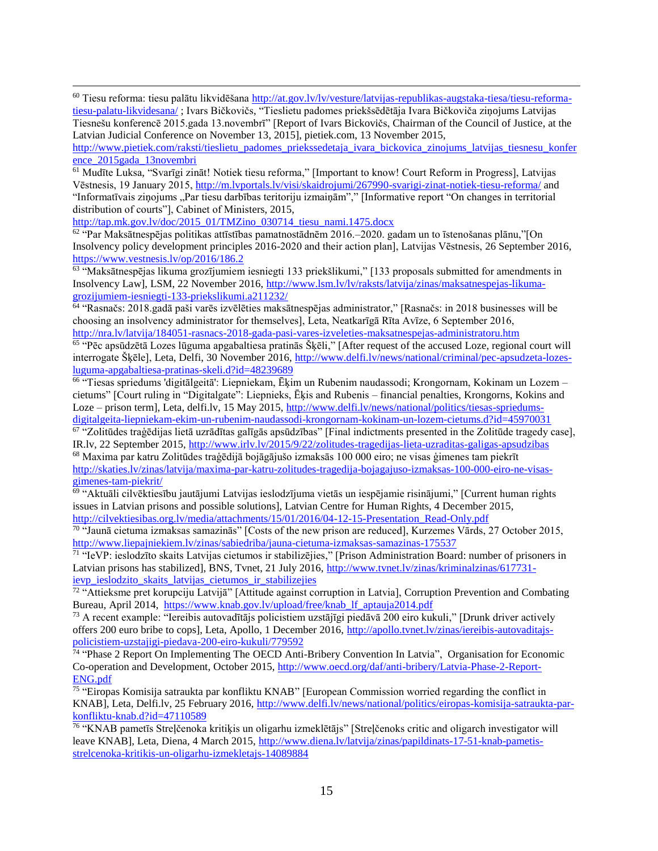$\overline{a}$ <sup>60</sup> Tiesu reforma: tiesu palātu likvidēšana [http://at.gov.lv/lv/vesture/latvijas-republikas-augstaka-tiesa/tiesu-reforma](http://at.gov.lv/lv/vesture/latvijas-republikas-augstaka-tiesa/tiesu-reforma-tiesu-palatu-likvidesana/)[tiesu-palatu-likvidesana/](http://at.gov.lv/lv/vesture/latvijas-republikas-augstaka-tiesa/tiesu-reforma-tiesu-palatu-likvidesana/) ; Ivars Bičkovičs, "Tieslietu padomes priekšsēdētāja Ivara Bičkoviča ziņojums Latvijas Tiesnešu konferencē 2015.gada 13.novembrī" [Report of Ivars Bickovičs, Chairman of the Council of Justice, at the Latvian Judicial Conference on November 13, 2015], pietiek.com, 13 November 2015,

[http://www.pietiek.com/raksti/tieslietu\\_padomes\\_priekssedetaja\\_ivara\\_bickovica\\_zinojums\\_latvijas\\_tiesnesu\\_konfer](http://www.pietiek.com/raksti/tieslietu_padomes_priekssedetaja_ivara_bickovica_zinojums_latvijas_tiesnesu_konference_2015gada_13novembri) [ence\\_2015gada\\_13novembri](http://www.pietiek.com/raksti/tieslietu_padomes_priekssedetaja_ivara_bickovica_zinojums_latvijas_tiesnesu_konference_2015gada_13novembri)

<sup>61</sup> Mudīte Luksa, "Svarīgi zināt! Notiek tiesu reforma," [Important to know! Court Reform in Progress], Latvijas Vēstnesis, 19 January 2015,<http://m.lvportals.lv/visi/skaidrojumi/267990-svarigi-zinat-notiek-tiesu-reforma/> and "Informatīvais ziņojums "Par tiesu darbības teritoriju izmaiņām"," [Informative report "On changes in territorial distribution of courts"], Cabinet of Ministers, 2015,

[http://tap.mk.gov.lv/doc/2015\\_01/TMZino\\_030714\\_tiesu\\_nami.1475.docx](http://tap.mk.gov.lv/doc/2015_01/TMZino_030714_tiesu_nami.1475.docx)

62 "Par Maksātnespējas politikas attīstības pamatnostādnēm 2016.–2020. gadam un to īstenošanas plānu,"[On Insolvency policy development principles 2016-2020 and their action plan], Latvijas Vēstnesis, 26 September 2016, <https://www.vestnesis.lv/op/2016/186.2>

<sup>63</sup> "Maksātnespējas likuma grozījumiem iesniegti 133 priekšlikumi," [133 proposals submitted for amendments in Insolvency Law], LSM, 22 November 2016[, http://www.lsm.lv/lv/raksts/latvija/zinas/maksatnespejas-likuma](http://www.lsm.lv/lv/raksts/latvija/zinas/maksatnespejas-likuma-grozijumiem-iesniegti-133-priekslikumi.a211232/)[grozijumiem-iesniegti-133-priekslikumi.a211232/](http://www.lsm.lv/lv/raksts/latvija/zinas/maksatnespejas-likuma-grozijumiem-iesniegti-133-priekslikumi.a211232/)

64 "Rasnačs: 2018.gadā paši varēs izvēlēties maksātnespējas administrator," [Rasnačs: in 2018 businesses will be choosing an insolvency administrator for themselves], Leta, Neatkarīgā Rīta Avīze, 6 September 2016, <http://nra.lv/latvija/184051-rasnacs-2018-gada-pasi-vares-izveleties-maksatnespejas-administratoru.htm>

65 "Pēc apsūdzētā Lozes lūguma apgabaltiesa pratinās Šķēli," [After request of the accused Loze, regional court will interrogate Šķēle], Leta, Delfi, 30 November 2016, [http://www.delfi.lv/news/national/criminal/pec-apsudzeta-lozes](http://www.delfi.lv/news/national/criminal/pec-apsudzeta-lozes-luguma-apgabaltiesa-pratinas-skeli.d?id=48239689)[luguma-apgabaltiesa-pratinas-skeli.d?id=48239689](http://www.delfi.lv/news/national/criminal/pec-apsudzeta-lozes-luguma-apgabaltiesa-pratinas-skeli.d?id=48239689)

66 "Tiesas spriedums 'digitālgeitā': Liepniekam, Ēķim un Rubenim naudassodi; Krongornam, Kokinam un Lozem – cietums" [Court ruling in "Digitalgate": Liepnieks, Ēķis and Rubenis – financial penalties, Krongorns, Kokins and Loze – prison term], Leta, delfi.lv, 15 May 2015, [http://www.delfi.lv/news/national/politics/tiesas-spriedums](http://www.delfi.lv/news/national/politics/tiesas-spriedums-digitalgeita-liepniekam-ekim-un-rubenim-naudassodi-krongornam-kokinam-un-lozem-cietums.d?id=45970031)[digitalgeita-liepniekam-ekim-un-rubenim-naudassodi-krongornam-kokinam-un-lozem-cietums.d?id=45970031](http://www.delfi.lv/news/national/politics/tiesas-spriedums-digitalgeita-liepniekam-ekim-un-rubenim-naudassodi-krongornam-kokinam-un-lozem-cietums.d?id=45970031)

<sup>67</sup> "Zolitūdes traģēdijas lietā uzrādītas galīgās apsūdzības" [Final indictments presented in the Zolitūde tragedy case], IR.lv, 22 September 2015[, http://www.irlv.lv/2015/9/22/zolitudes-tragedijas-lieta-uzraditas-galigas-apsudzibas](http://www.irlv.lv/2015/9/22/zolitudes-tragedijas-lieta-uzraditas-galigas-apsudzibas) <sup>68</sup> Maxima par katru Zolitūdes traģēdijā bojāgājušo izmaksās 100 000 eiro; ne visas ģimenes tam piekrīt [http://skaties.lv/zinas/latvija/maxima-par-katru-zolitudes-tragedija-bojagajuso-izmaksas-100-000-eiro-ne-visas-](http://skaties.lv/zinas/latvija/maxima-par-katru-zolitudes-tragedija-bojagajuso-izmaksas-100-000-eiro-ne-visas-gimenes-tam-piekrit/)

#### [gimenes-tam-piekrit/](http://skaties.lv/zinas/latvija/maxima-par-katru-zolitudes-tragedija-bojagajuso-izmaksas-100-000-eiro-ne-visas-gimenes-tam-piekrit/)

<sup>69</sup> "Aktuāli cilvēktiesību jautājumi Latvijas ieslodzījuma vietās un iespējamie risinājumi," [Current human rights issues in Latvian prisons and possible solutions], Latvian Centre for Human Rights, 4 December 2015, [http://cilvektiesibas.org.lv/media/attachments/15/01/2016/04-12-15-Presentation\\_Read-Only.pdf](http://cilvektiesibas.org.lv/media/attachments/15/01/2016/04-12-15-Presentation_Read-Only.pdf)

70 "Jaunā cietuma izmaksas samazinās" [Costs of the new prison are reduced], Kurzemes Vārds, 27 October 2015, <http://www.liepajniekiem.lv/zinas/sabiedriba/jauna-cietuma-izmaksas-samazinas-175537>

<sup>71</sup> "IeVP: ieslodzīto skaits Latvijas cietumos ir stabilizējies," [Prison Administration Board: number of prisoners in Latvian prisons has stabilized], BNS, Tynet, 21 July 2016, http://www.tynet.ly/zinas/kriminalzinas/617731ievp ieslodzito skaits latvijas cietumos ir stabilizejies

<sup>72</sup> "Attieksme pret korupciju Latvijā" [Attitude against corruption in Latvia], Corruption Prevention and Combating Bureau, April 2014, [https://www.knab.gov.lv/upload/free/knab\\_lf\\_aptauja2014.pdf](https://www.knab.gov.lv/upload/free/knab_lf_aptauja2014.pdf)

 $^{73}$  A recent example: "Iereibis autovadītājs policistiem uzstājīgi piedāvā 200 eiro kukuli," [Drunk driver actively offers 200 euro bribe to cops], Leta, Apollo, 1 December 2016[, http://apollo.tvnet.lv/zinas/iereibis-autovaditajs](http://apollo.tvnet.lv/zinas/iereibis-autovaditajs-policistiem-uzstajigi-piedava-200-eiro-kukuli/779592)[policistiem-uzstajigi-piedava-200-eiro-kukuli/779592](http://apollo.tvnet.lv/zinas/iereibis-autovaditajs-policistiem-uzstajigi-piedava-200-eiro-kukuli/779592)<br><sup>74</sup> "Phase 2 Report On Implementing The OECD Anti-Bribery Convention In Latvia", Organisation for Economic

Co-operation and Development, October 2015, [http://www.oecd.org/daf/anti-bribery/Latvia-Phase-2-Report-](http://www.oecd.org/daf/anti-bribery/Latvia-Phase-2-Report-ENG.pdf)[ENG.pdf](http://www.oecd.org/daf/anti-bribery/Latvia-Phase-2-Report-ENG.pdf)

<sup>75</sup> "Eiropas Komisija satraukta par konfliktu KNAB" [European Commission worried regarding the conflict in KNAB], Leta, Delfi.lv, 25 February 2016, [http://www.delfi.lv/news/national/politics/eiropas-komisija-satraukta-par](http://www.delfi.lv/news/national/politics/eiropas-komisija-satraukta-par-konfliktu-knab.d?id=47110589)[konfliktu-knab.d?id=47110589](http://www.delfi.lv/news/national/politics/eiropas-komisija-satraukta-par-konfliktu-knab.d?id=47110589)

76 "KNAB pametīs Streļčenoka kritiķis un oligarhu izmeklētājs" [Streļčenoks critic and oligarch investigator will leave KNAB], Leta, Diena, 4 March 2015, [http://www.diena.lv/latvija/zinas/papildinats-17-51-knab-pametis](http://www.diena.lv/latvija/zinas/papildinats-17-51-knab-pametis-strelcenoka-kritikis-un-oligarhu-izmekletajs-14089884)[strelcenoka-kritikis-un-oligarhu-izmekletajs-14089884](http://www.diena.lv/latvija/zinas/papildinats-17-51-knab-pametis-strelcenoka-kritikis-un-oligarhu-izmekletajs-14089884)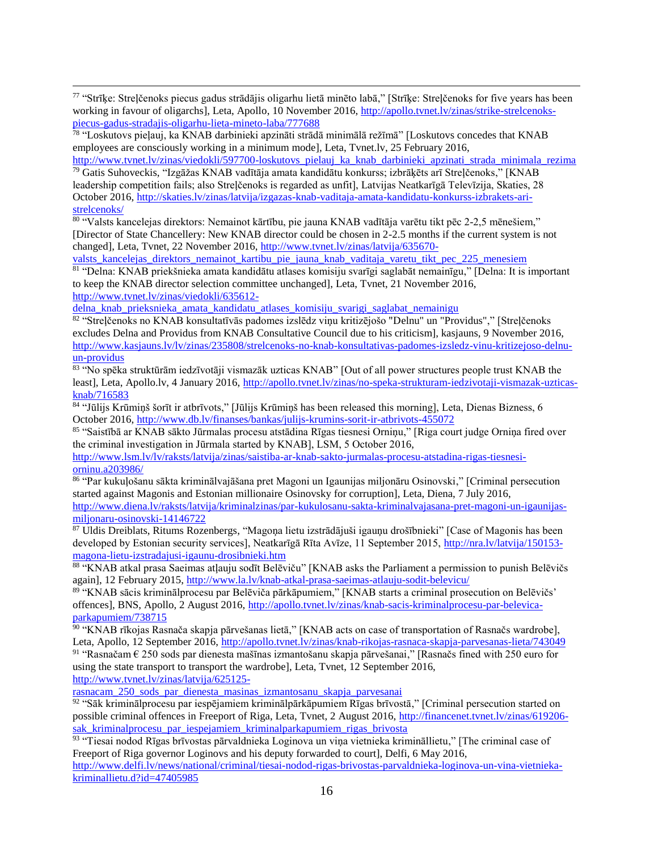77 "Strīķe: Streļčenoks piecus gadus strādājis oligarhu lietā minēto labā," [Strīķe: Streļčenoks for five years has been working in favour of oligarchs], Leta, Apollo, 10 November 2016, [http://apollo.tvnet.lv/zinas/strike-strelcenoks](http://apollo.tvnet.lv/zinas/strike-strelcenoks-piecus-gadus-stradajis-oligarhu-lieta-mineto-laba/777688)[piecus-gadus-stradajis-oligarhu-lieta-mineto-laba/777688](http://apollo.tvnet.lv/zinas/strike-strelcenoks-piecus-gadus-stradajis-oligarhu-lieta-mineto-laba/777688)

78 "Loskutovs pieļauj, ka KNAB darbinieki apzināti strādā minimālā režīmā" [Loskutovs concedes that KNAB employees are consciously working in a minimum mode], Leta, Tvnet.lv, 25 February 2016,

[http://www.tvnet.lv/zinas/viedokli/597700-loskutovs\\_pielauj\\_ka\\_knab\\_darbinieki\\_apzinati\\_strada\\_minimala\\_rezima](http://www.tvnet.lv/zinas/viedokli/597700-loskutovs_pielauj_ka_knab_darbinieki_apzinati_strada_minimala_rezima) <sup>79</sup> Gatis Suhoveckis, "Izgāžas KNAB vadītāja amata kandidātu konkurss; izbrāķēts arī Streļčenoks," [KNAB leadership competition fails; also Streļčenoks is regarded as unfit], Latvijas Neatkarīgā Televīzija, Skaties, 28 October 2016, [http://skaties.lv/zinas/latvija/izgazas-knab-vaditaja-amata-kandidatu-konkurss-izbrakets-ari](http://skaties.lv/zinas/latvija/izgazas-knab-vaditaja-amata-kandidatu-konkurss-izbrakets-ari-strelcenoks/)[strelcenoks/](http://skaties.lv/zinas/latvija/izgazas-knab-vaditaja-amata-kandidatu-konkurss-izbrakets-ari-strelcenoks/)

80 "Valsts kancelejas direktors: Nemainot kārtību, pie jauna KNAB vadītāja varētu tikt pēc 2-2,5 mēnešiem," [Director of State Chancellery: New KNAB director could be chosen in 2-2.5 months if the current system is not changed], Leta, Tynet, 22 November 2016, http://www.tynet.ly/zinas/latvija/635670-

valsts kancelejas direktors nemainot kartibu pie jauna knab vaditaja varetu tikt pec 225 menesiem 81 "Delna: KNAB priekšnieka amata kandidātu atlases komisiju svarīgi saglabāt nemainīgu," [Delna: It is important

to keep the KNAB director selection committee unchanged], Leta, Tvnet, 21 November 2016, [http://www.tvnet.lv/zinas/viedokli/635612-](http://www.tvnet.lv/zinas/viedokli/635612-delna_knab_prieksnieka_amata_kandidatu_atlases_komisiju_svarigi_saglabat_nemainigu)

delna knab prieksnieka amata kandidatu atlases komisiju svarigi saglabat nemainigu

82 "Streļčenoks no KNAB konsultatīvās padomes izslēdz viņu kritizējošo "Delnu" un "Providus"," [Streļčenoks excludes Delna and Providus from KNAB Consultative Council due to his criticism], kasjauns, 9 November 2016, [http://www.kasjauns.lv/lv/zinas/235808/strelcenoks-no-knab-konsultativas-padomes-izsledz-vinu-kritizejoso-delnu](http://www.kasjauns.lv/lv/zinas/235808/strelcenoks-no-knab-konsultativas-padomes-izsledz-vinu-kritizejoso-delnu-un-providus)[un-providus](http://www.kasjauns.lv/lv/zinas/235808/strelcenoks-no-knab-konsultativas-padomes-izsledz-vinu-kritizejoso-delnu-un-providus)

<sup>83</sup> "No spēka struktūrām iedzīvotāji vismazāk uzticas KNAB" [Out of all power structures people trust KNAB the least], Leta, Apollo.lv, 4 January 2016, [http://apollo.tvnet.lv/zinas/no-speka-strukturam-iedzivotaji-vismazak-uzticas](http://apollo.tvnet.lv/zinas/no-speka-strukturam-iedzivotaji-vismazak-uzticas-knab/716583)[knab/716583](http://apollo.tvnet.lv/zinas/no-speka-strukturam-iedzivotaji-vismazak-uzticas-knab/716583)

84 "Jūlijs Krūmiņš šorīt ir atbrīvots," [Jūlijs Krūmiņš has been released this morning], Leta, Dienas Bizness, 6 October 2016,<http://www.db.lv/finanses/bankas/julijs-krumins-sorit-ir-atbrivots-455072>

<sup>85</sup> "Saistībā ar KNAB sākto Jūrmalas procesu atstādina Rīgas tiesnesi Orniņu," [Riga court judge Orniņa fired over the criminal investigation in Jūrmala started by KNAB], LSM, 5 October 2016,

[http://www.lsm.lv/lv/raksts/latvija/zinas/saistiba-ar-knab-sakto-jurmalas-procesu-atstadina-rigas-tiesnesi](http://www.lsm.lv/lv/raksts/latvija/zinas/saistiba-ar-knab-sakto-jurmalas-procesu-atstadina-rigas-tiesnesi-orninu.a203986/)[orninu.a203986/](http://www.lsm.lv/lv/raksts/latvija/zinas/saistiba-ar-knab-sakto-jurmalas-procesu-atstadina-rigas-tiesnesi-orninu.a203986/)

<sup>86</sup> "Par kukuļošanu sākta kriminālvajāšana pret Magoni un Igaunijas miljonāru Osinovski," [Criminal persecution started against Magonis and Estonian millionaire Osinovsky for corruption], Leta, Diena, 7 July 2016, [http://www.diena.lv/raksts/latvija/kriminalzinas/par-kukulosanu-sakta-kriminalvajasana-pret-magoni-un-igaunijas](http://www.diena.lv/raksts/latvija/kriminalzinas/par-kukulosanu-sakta-kriminalvajasana-pret-magoni-un-igaunijas-miljonaru-osinovski-14146722)[miljonaru-osinovski-14146722](http://www.diena.lv/raksts/latvija/kriminalzinas/par-kukulosanu-sakta-kriminalvajasana-pret-magoni-un-igaunijas-miljonaru-osinovski-14146722)

<sup>87</sup> Uldis Dreiblats, Ritums Rozenbergs, "Magoņa lietu izstrādājuši igauņu drošībnieki" [Case of Magonis has been developed by Estonian security services], Neatkarīgā Rīta Avīze, 11 September 2015, [http://nra.lv/latvija/150153](http://nra.lv/latvija/150153-magona-lietu-izstradajusi-igaunu-drosibnieki.htm) [magona-lietu-izstradajusi-igaunu-drosibnieki.htm](http://nra.lv/latvija/150153-magona-lietu-izstradajusi-igaunu-drosibnieki.htm)

88 "KNAB atkal prasa Saeimas atļauju sodīt Belēviču" [KNAB asks the Parliament a permission to punish Belēvičs again], 12 February 2015[, http://www.la.lv/knab-atkal-prasa-saeimas-atlauju-sodit-belevicu/](http://www.la.lv/knab-atkal-prasa-saeimas-atlauju-sodit-belevicu/)

89 "KNAB sācis kriminālprocesu par Belēviča pārkāpumiem," [KNAB starts a criminal prosecution on Belēvičs' offences], BNS, Apollo, 2 August 2016, [http://apollo.tvnet.lv/zinas/knab-sacis-kriminalprocesu-par-belevica](http://apollo.tvnet.lv/zinas/knab-sacis-kriminalprocesu-par-belevica-parkapumiem/738715)[parkapumiem/738715](http://apollo.tvnet.lv/zinas/knab-sacis-kriminalprocesu-par-belevica-parkapumiem/738715)

90 "KNAB rīkojas Rasnača skapja pārvešanas lietā," [KNAB acts on case of transportation of Rasnačs wardrobe], Leta, Apollo, 12 September 2016,<http://apollo.tvnet.lv/zinas/knab-rikojas-rasnaca-skapja-parvesanas-lieta/743049>

91 "Rasnačam  $\epsilon$  250 sods par dienesta mašīnas izmantošanu skapja pārvešanai," [Rasnačs fined with 250 euro for using the state transport to transport the wardrobe], Leta, Tvnet, 12 September 2016,

[http://www.tvnet.lv/zinas/latvija/625125-](http://www.tvnet.lv/zinas/latvija/625125-rasnacam_250_sods_par_dienesta_masinas_izmantosanu_skapja_parvesanai)

 $\overline{a}$ 

[rasnacam\\_250\\_sods\\_par\\_dienesta\\_masinas\\_izmantosanu\\_skapja\\_parvesanai](http://www.tvnet.lv/zinas/latvija/625125-rasnacam_250_sods_par_dienesta_masinas_izmantosanu_skapja_parvesanai)

<sup>92</sup> "Sāk kriminālprocesu par iespējamiem kriminālpārkāpumiem Rīgas brīvostā," [Criminal persecution started on possible criminal offences in Freeport of Riga, Leta, Tvnet, 2 August 2016, [http://financenet.tvnet.lv/zinas/619206](http://financenet.tvnet.lv/zinas/619206-sak_kriminalprocesu_par_iespejamiem_kriminalparkapumiem_rigas_brivosta) sak kriminalprocesu par iespejamiem kriminalparkapumiem rigas brivosta

93 "Tiesai nodod Rīgas brīvostas pārvaldnieka Loginova un viņa vietnieka krimināllietu," [The criminal case of Freeport of Riga governor Loginovs and his deputy forwarded to court], Delfi, 6 May 2016,

[http://www.delfi.lv/news/national/criminal/tiesai-nodod-rigas-brivostas-parvaldnieka-loginova-un-vina-vietnieka](http://www.delfi.lv/news/national/criminal/tiesai-nodod-rigas-brivostas-parvaldnieka-loginova-un-vina-vietnieka-kriminallietu.d?id=47405985)[kriminallietu.d?id=47405985](http://www.delfi.lv/news/national/criminal/tiesai-nodod-rigas-brivostas-parvaldnieka-loginova-un-vina-vietnieka-kriminallietu.d?id=47405985)